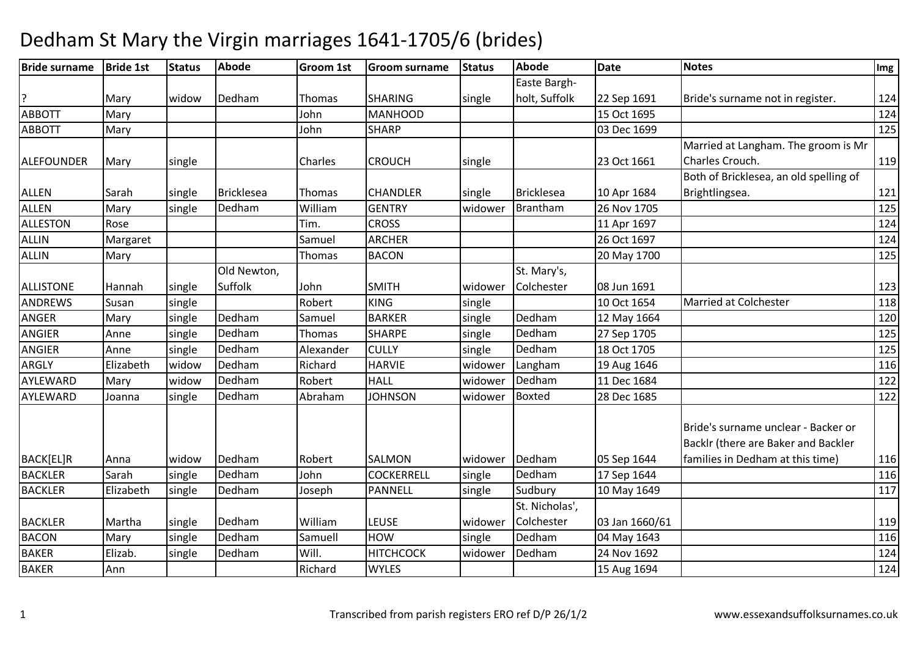| <b>Bride surname</b> | <b>Bride 1st</b> | <b>Status</b> | <b>Abode</b>      | <b>Groom 1st</b> | <b>Groom surname</b> | <b>Status</b> | <b>Abode</b>      | <b>Date</b>    | <b>Notes</b>                           | Img |
|----------------------|------------------|---------------|-------------------|------------------|----------------------|---------------|-------------------|----------------|----------------------------------------|-----|
|                      |                  |               |                   |                  |                      |               | Easte Bargh-      |                |                                        |     |
| ?                    | Mary             | widow         | Dedham            | Thomas           | <b>SHARING</b>       | single        | holt, Suffolk     | 22 Sep 1691    | Bride's surname not in register.       | 124 |
| <b>ABBOTT</b>        | Mary             |               |                   | John             | <b>MANHOOD</b>       |               |                   | 15 Oct 1695    |                                        | 124 |
| <b>ABBOTT</b>        | Mary             |               |                   | John             | <b>SHARP</b>         |               |                   | 03 Dec 1699    |                                        | 125 |
|                      |                  |               |                   |                  |                      |               |                   |                | Married at Langham. The groom is Mr    |     |
| <b>ALEFOUNDER</b>    | Mary             | single        |                   | Charles          | <b>CROUCH</b>        | single        |                   | 23 Oct 1661    | Charles Crouch.                        | 119 |
|                      |                  |               |                   |                  |                      |               |                   |                | Both of Bricklesea, an old spelling of |     |
| <b>ALLEN</b>         | Sarah            | single        | <b>Bricklesea</b> | Thomas           | <b>CHANDLER</b>      | single        | <b>Bricklesea</b> | 10 Apr 1684    | Brightlingsea.                         | 121 |
| <b>ALLEN</b>         | Mary             | single        | Dedham            | William          | <b>GENTRY</b>        | widower       | Brantham          | 26 Nov 1705    |                                        | 125 |
| ALLESTON             | Rose             |               |                   | Tim.             | <b>CROSS</b>         |               |                   | 11 Apr 1697    |                                        | 124 |
| ALLIN                | Margaret         |               |                   | Samuel           | <b>ARCHER</b>        |               |                   | 26 Oct 1697    |                                        | 124 |
| <b>ALLIN</b>         | Mary             |               |                   | Thomas           | <b>BACON</b>         |               |                   | 20 May 1700    |                                        | 125 |
|                      |                  |               | Old Newton,       |                  |                      |               | St. Mary's,       |                |                                        |     |
| <b>ALLISTONE</b>     | Hannah           | single        | Suffolk           | John             | <b>SMITH</b>         | widower       | Colchester        | 08 Jun 1691    |                                        | 123 |
| <b>ANDREWS</b>       | Susan            | single        |                   | Robert           | <b>KING</b>          | single        |                   | 10 Oct 1654    | <b>Married at Colchester</b>           | 118 |
| <b>ANGER</b>         | Mary             | single        | Dedham            | Samuel           | <b>BARKER</b>        | single        | Dedham            | 12 May 1664    |                                        | 120 |
| <b>ANGIER</b>        | Anne             | single        | Dedham            | Thomas           | <b>SHARPE</b>        | single        | Dedham            | 27 Sep 1705    |                                        | 125 |
| <b>ANGIER</b>        | Anne             | single        | Dedham            | Alexander        | <b>CULLY</b>         | single        | Dedham            | 18 Oct 1705    |                                        | 125 |
| <b>ARGLY</b>         | Elizabeth        | widow         | Dedham            | Richard          | <b>HARVIE</b>        | widower       | Langham           | 19 Aug 1646    |                                        | 116 |
| AYLEWARD             | Mary             | widow         | Dedham            | Robert           | <b>HALL</b>          | widower       | Dedham            | 11 Dec 1684    |                                        | 122 |
| AYLEWARD             | Joanna           | single        | Dedham            | Abraham          | <b>JOHNSON</b>       | widower       | <b>Boxted</b>     | 28 Dec 1685    |                                        | 122 |
|                      |                  |               |                   |                  |                      |               |                   |                |                                        |     |
|                      |                  |               |                   |                  |                      |               |                   |                | Bride's surname unclear - Backer or    |     |
|                      |                  |               |                   |                  |                      |               |                   |                | Backlr (there are Baker and Backler    |     |
| BACK[EL]R            | Anna             | widow         | Dedham            | Robert           | <b>SALMON</b>        | widower       | Dedham            | 05 Sep 1644    | families in Dedham at this time)       | 116 |
| <b>BACKLER</b>       | Sarah            | single        | Dedham            | John             | <b>COCKERRELL</b>    | single        | Dedham            | 17 Sep 1644    |                                        | 116 |
| <b>BACKLER</b>       | Elizabeth        | single        | Dedham            | Joseph           | <b>PANNELL</b>       | single        | Sudbury           | 10 May 1649    |                                        | 117 |
|                      |                  |               |                   |                  |                      |               | St. Nicholas',    |                |                                        |     |
| <b>BACKLER</b>       | Martha           | single        | Dedham            | William          | <b>LEUSE</b>         | widower       | Colchester        | 03 Jan 1660/61 |                                        | 119 |
| <b>BACON</b>         | Mary             | single        | Dedham            | Samuell          | <b>HOW</b>           | single        | Dedham            | 04 May 1643    |                                        | 116 |
| <b>BAKER</b>         | Elizab.          | single        | Dedham            | Will.            | <b>HITCHCOCK</b>     | widower       | Dedham            | 24 Nov 1692    |                                        | 124 |
| <b>BAKER</b>         | Ann              |               |                   | Richard          | <b>WYLES</b>         |               |                   | 15 Aug 1694    |                                        | 124 |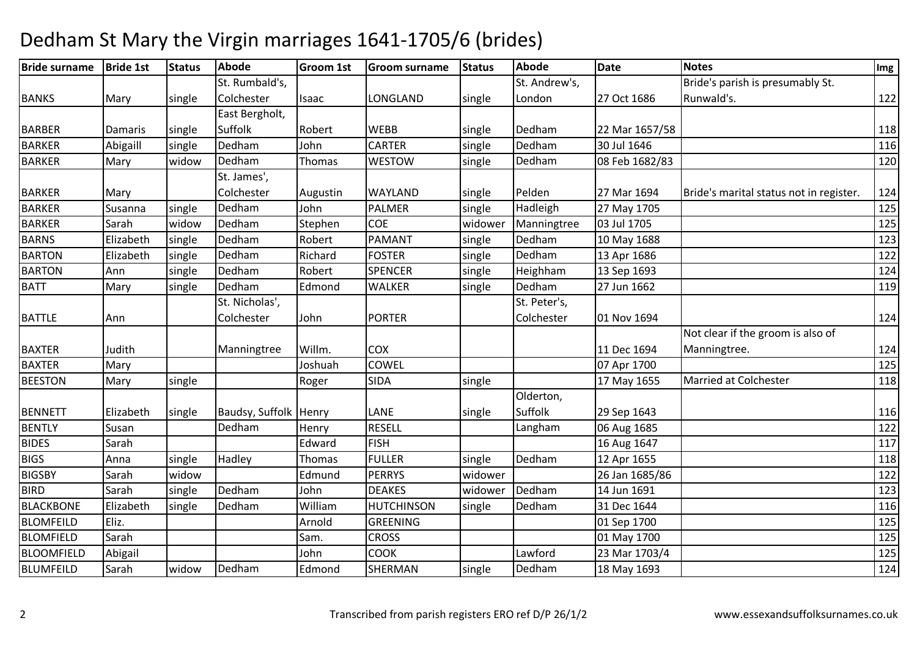| <b>Bride surname</b> | <b>Bride 1st</b> | <b>Status</b> | <b>Abode</b>            | <b>Groom 1st</b> | <b>Groom surname</b> | <b>Status</b> | Abode         | <b>Date</b>    | <b>Notes</b>                            | Img   |
|----------------------|------------------|---------------|-------------------------|------------------|----------------------|---------------|---------------|----------------|-----------------------------------------|-------|
|                      |                  |               | St. Rumbald's,          |                  |                      |               | St. Andrew's, |                | Bride's parish is presumably St.        |       |
| <b>BANKS</b>         | Mary             | single        | Colchester              | Isaac            | LONGLAND             | single        | London        | 27 Oct 1686    | Runwald's.                              | $122$ |
|                      |                  |               | East Bergholt,          |                  |                      |               |               |                |                                         |       |
| <b>BARBER</b>        | Damaris          | single        | Suffolk                 | Robert           | <b>WEBB</b>          | single        | Dedham        | 22 Mar 1657/58 |                                         | 118   |
| <b>BARKER</b>        | Abigaill         | single        | Dedham                  | John             | <b>CARTER</b>        | single        | Dedham        | 30 Jul 1646    |                                         | 116   |
| <b>BARKER</b>        | Mary             | widow         | Dedham                  | Thomas           | <b>WESTOW</b>        | single        | Dedham        | 08 Feb 1682/83 |                                         | 120   |
|                      |                  |               | St. James',             |                  |                      |               |               |                |                                         |       |
| <b>BARKER</b>        | Mary             |               | Colchester              | Augustin         | <b>WAYLAND</b>       | single        | Pelden        | 27 Mar 1694    | Bride's marital status not in register. | 124   |
| <b>BARKER</b>        | Susanna          | single        | Dedham                  | John             | <b>PALMER</b>        | single        | Hadleigh      | 27 May 1705    |                                         | 125   |
| <b>BARKER</b>        | Sarah            | widow         | Dedham                  | Stephen          | <b>COE</b>           | widower       | Manningtree   | 03 Jul 1705    |                                         | 125   |
| <b>BARNS</b>         | Elizabeth        | single        | Dedham                  | Robert           | PAMANT               | single        | Dedham        | 10 May 1688    |                                         | 123   |
| <b>BARTON</b>        | Elizabeth        | single        | Dedham                  | Richard          | <b>FOSTER</b>        | single        | Dedham        | 13 Apr 1686    |                                         | 122   |
| <b>BARTON</b>        | Ann              | single        | Dedham                  | Robert           | <b>SPENCER</b>       | single        | Heighham      | 13 Sep 1693    |                                         | 124   |
| <b>BATT</b>          | Mary             | single        | Dedham                  | Edmond           | <b>WALKER</b>        | single        | Dedham        | 27 Jun 1662    |                                         | 119   |
|                      |                  |               | St. Nicholas',          |                  |                      |               | St. Peter's,  |                |                                         |       |
| <b>BATTLE</b>        | Ann              |               | Colchester              | John             | <b>PORTER</b>        |               | Colchester    | 01 Nov 1694    |                                         | 124   |
|                      |                  |               |                         |                  |                      |               |               |                | Not clear if the groom is also of       |       |
| <b>BAXTER</b>        | Judith           |               | Manningtree             | Willm.           | <b>COX</b>           |               |               | 11 Dec 1694    | Manningtree.                            | 124   |
| <b>BAXTER</b>        | Mary             |               |                         | Joshuah          | <b>COWEL</b>         |               |               | 07 Apr 1700    |                                         | 125   |
| <b>BEESTON</b>       | Mary             | single        |                         | Roger            | <b>SIDA</b>          | single        |               | 17 May 1655    | Married at Colchester                   | 118   |
|                      |                  |               |                         |                  |                      |               | Olderton,     |                |                                         |       |
| <b>BENNETT</b>       | Elizabeth        | single        | Baudsy, Suffolk   Henry |                  | LANE                 | single        | Suffolk       | 29 Sep 1643    |                                         | 116   |
| <b>BENTLY</b>        | Susan            |               | Dedham                  | Henry            | <b>RESELL</b>        |               | Langham       | 06 Aug 1685    |                                         | 122   |
| <b>BIDES</b>         | Sarah            |               |                         | Edward           | <b>FISH</b>          |               |               | 16 Aug 1647    |                                         | 117   |
| <b>BIGS</b>          | Anna             | single        | Hadley                  | Thomas           | <b>FULLER</b>        | single        | Dedham        | 12 Apr 1655    |                                         | 118   |
| <b>BIGSBY</b>        | Sarah            | widow         |                         | Edmund           | <b>PERRYS</b>        | widower       |               | 26 Jan 1685/86 |                                         | 122   |
| <b>BIRD</b>          | Sarah            | single        | Dedham                  | John             | <b>DEAKES</b>        | widower       | Dedham        | 14 Jun 1691    |                                         | 123   |
| <b>BLACKBONE</b>     | Elizabeth        | single        | Dedham                  | William          | <b>HUTCHINSON</b>    | single        | Dedham        | 31 Dec 1644    |                                         | 116   |
| <b>BLOMFEILD</b>     | Eliz.            |               |                         | Arnold           | <b>GREENING</b>      |               |               | 01 Sep 1700    |                                         | 125   |
| <b>BLOMFIELD</b>     | Sarah            |               |                         | Sam.             | <b>CROSS</b>         |               |               | 01 May 1700    |                                         | 125   |
| <b>BLOOMFIELD</b>    | Abigail          |               |                         | John             | COOK                 |               | Lawford       | 23 Mar 1703/4  |                                         | 125   |
| <b>BLUMFEILD</b>     | Sarah            | widow         | Dedham                  | Edmond           | <b>SHERMAN</b>       | single        | Dedham        | 18 May 1693    |                                         | 124   |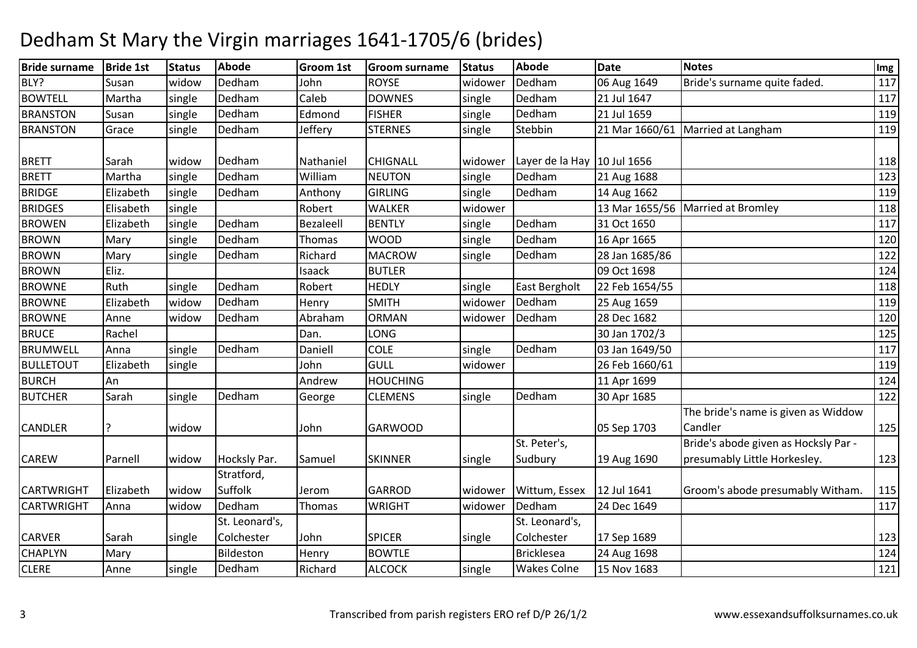| <b>Bride surname</b> | <b>Bride 1st</b> | <b>Status</b> | <b>Abode</b>                 | <b>Groom 1st</b> | <b>Groom surname</b> | <b>Status</b> | <b>Abode</b>                  | <b>Date</b>    | <b>Notes</b>                                                         | Img |
|----------------------|------------------|---------------|------------------------------|------------------|----------------------|---------------|-------------------------------|----------------|----------------------------------------------------------------------|-----|
| BLY?                 | Susan            | widow         | Dedham                       | John             | <b>ROYSE</b>         | widower       | Dedham                        | 06 Aug 1649    | Bride's surname quite faded.                                         | 117 |
| <b>BOWTELL</b>       | Martha           | single        | Dedham                       | Caleb            | <b>DOWNES</b>        | single        | Dedham                        | 21 Jul 1647    |                                                                      | 117 |
| <b>BRANSTON</b>      | Susan            | single        | Dedham                       | Edmond           | <b>FISHER</b>        | single        | Dedham                        | 21 Jul 1659    |                                                                      | 119 |
| <b>BRANSTON</b>      | Grace            | single        | Dedham                       | Jeffery          | <b>STERNES</b>       | single        | Stebbin                       |                | 21 Mar 1660/61 Married at Langham                                    | 119 |
| <b>BRETT</b>         | Sarah            | widow         | Dedham                       | Nathaniel        | <b>CHIGNALL</b>      | widower       | Layer de la Hay   10 Jul 1656 |                |                                                                      | 118 |
| BRETT                | Martha           | single        | Dedham                       | William          | <b>NEUTON</b>        | single        | Dedham                        | 21 Aug 1688    |                                                                      | 123 |
| <b>BRIDGE</b>        | Elizabeth        | single        | Dedham                       | Anthony          | <b>GIRLING</b>       | single        | Dedham                        | 14 Aug 1662    |                                                                      | 119 |
| <b>BRIDGES</b>       | Elisabeth        | single        |                              | Robert           | <b>WALKER</b>        | widower       |                               |                | 13 Mar 1655/56   Married at Bromley                                  | 118 |
| <b>BROWEN</b>        | Elizabeth        | single        | Dedham                       | Bezaleell        | <b>BENTLY</b>        | single        | Dedham                        | 31 Oct 1650    |                                                                      | 117 |
| <b>BROWN</b>         | Mary             | single        | Dedham                       | Thomas           | <b>WOOD</b>          | single        | Dedham                        | 16 Apr 1665    |                                                                      | 120 |
| <b>BROWN</b>         | Mary             | single        | Dedham                       | Richard          | <b>MACROW</b>        | single        | Dedham                        | 28 Jan 1685/86 |                                                                      | 122 |
| <b>BROWN</b>         | Eliz.            |               |                              | Isaack           | <b>BUTLER</b>        |               |                               | 09 Oct 1698    |                                                                      | 124 |
| <b>BROWNE</b>        | Ruth             | single        | Dedham                       | Robert           | <b>HEDLY</b>         | single        | <b>East Bergholt</b>          | 22 Feb 1654/55 |                                                                      | 118 |
| <b>BROWNE</b>        | Elizabeth        | widow         | Dedham                       | Henry            | <b>SMITH</b>         | widower       | Dedham                        | 25 Aug 1659    |                                                                      | 119 |
| <b>BROWNE</b>        | Anne             | widow         | Dedham                       | Abraham          | <b>ORMAN</b>         | widower       | Dedham                        | 28 Dec 1682    |                                                                      | 120 |
| <b>BRUCE</b>         | Rachel           |               |                              | Dan.             | LONG                 |               |                               | 30 Jan 1702/3  |                                                                      | 125 |
| <b>BRUMWELL</b>      | Anna             | single        | Dedham                       | Daniell          | <b>COLE</b>          | single        | Dedham                        | 03 Jan 1649/50 |                                                                      | 117 |
| <b>BULLETOUT</b>     | Elizabeth        | single        |                              | John             | <b>GULL</b>          | widower       |                               | 26 Feb 1660/61 |                                                                      | 119 |
| <b>BURCH</b>         | An               |               |                              | Andrew           | <b>HOUCHING</b>      |               |                               | 11 Apr 1699    |                                                                      | 124 |
| <b>BUTCHER</b>       | Sarah            | single        | Dedham                       | George           | <b>CLEMENS</b>       | single        | Dedham                        | 30 Apr 1685    |                                                                      | 122 |
| <b>CANDLER</b>       |                  | widow         |                              | John             | <b>GARWOOD</b>       |               |                               | 05 Sep 1703    | The bride's name is given as Widdow<br>Candler                       | 125 |
| <b>CAREW</b>         | Parnell          | widow         | Hocksly Par.                 | Samuel           | <b>SKINNER</b>       | single        | St. Peter's,<br>Sudbury       | 19 Aug 1690    | Bride's abode given as Hocksly Par -<br>presumably Little Horkesley. | 123 |
| <b>CARTWRIGHT</b>    | Elizabeth        | widow         | Stratford,<br><b>Suffolk</b> | Jerom            | <b>GARROD</b>        | widower       | Wittum, Essex                 | 12 Jul 1641    | Groom's abode presumably Witham.                                     | 115 |
| <b>CARTWRIGHT</b>    | Anna             | widow         | Dedham                       | Thomas           | <b>WRIGHT</b>        | widower       | Dedham                        | 24 Dec 1649    |                                                                      | 117 |
|                      |                  |               | St. Leonard's,               |                  |                      |               | St. Leonard's,                |                |                                                                      |     |
| <b>CARVER</b>        | Sarah            | single        | Colchester                   | John             | <b>SPICER</b>        | single        | Colchester                    | 17 Sep 1689    |                                                                      | 123 |
| <b>CHAPLYN</b>       | Mary             |               | Bildeston                    | Henry            | <b>BOWTLE</b>        |               | <b>Bricklesea</b>             | 24 Aug 1698    |                                                                      | 124 |
| <b>CLERE</b>         | Anne             | single        | Dedham                       | Richard          | <b>ALCOCK</b>        | single        | <b>Wakes Colne</b>            | 15 Nov 1683    |                                                                      | 121 |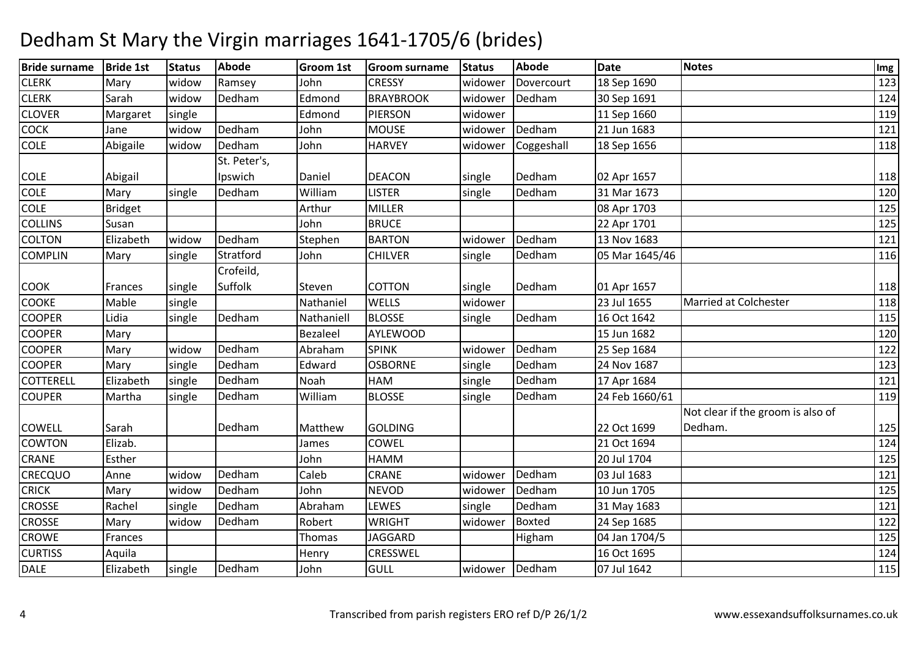| <b>Bride surname</b> | <b>Bride 1st</b> | <b>Status</b> | <b>Abode</b> | <b>Groom 1st</b> | <b>Groom surname</b> | <b>Status</b> | <b>Abode</b>  | <b>Date</b>    | Notes                             | Img |
|----------------------|------------------|---------------|--------------|------------------|----------------------|---------------|---------------|----------------|-----------------------------------|-----|
| <b>CLERK</b>         | Mary             | widow         | Ramsey       | John             | <b>CRESSY</b>        | widower       | Dovercourt    | 18 Sep 1690    |                                   | 123 |
| <b>CLERK</b>         | Sarah            | widow         | Dedham       | Edmond           | <b>BRAYBROOK</b>     | widower       | Dedham        | 30 Sep 1691    |                                   | 124 |
| <b>CLOVER</b>        | Margaret         | single        |              | Edmond           | <b>PIERSON</b>       | widower       |               | 11 Sep 1660    |                                   | 119 |
| <b>COCK</b>          | Jane             | widow         | Dedham       | John             | <b>MOUSE</b>         | widower       | Dedham        | 21 Jun 1683    |                                   | 121 |
| <b>COLE</b>          | Abigaile         | widow         | Dedham       | John             | <b>HARVEY</b>        | widower       | Coggeshall    | 18 Sep 1656    |                                   | 118 |
|                      |                  |               | St. Peter's, |                  |                      |               |               |                |                                   |     |
| <b>COLE</b>          | Abigail          |               | Ipswich      | Daniel           | <b>DEACON</b>        | single        | Dedham        | 02 Apr 1657    |                                   | 118 |
| <b>COLE</b>          | Mary             | single        | Dedham       | William          | <b>LISTER</b>        | single        | Dedham        | 31 Mar 1673    |                                   | 120 |
| <b>COLE</b>          | <b>Bridget</b>   |               |              | Arthur           | <b>MILLER</b>        |               |               | 08 Apr 1703    |                                   | 125 |
| <b>COLLINS</b>       | Susan            |               |              | John             | <b>BRUCE</b>         |               |               | 22 Apr 1701    |                                   | 125 |
| <b>COLTON</b>        | Elizabeth        | widow         | Dedham       | Stephen          | <b>BARTON</b>        | widower       | Dedham        | 13 Nov 1683    |                                   | 121 |
| <b>COMPLIN</b>       | Mary             | single        | Stratford    | John             | <b>CHILVER</b>       | single        | Dedham        | 05 Mar 1645/46 |                                   | 116 |
|                      |                  |               | Crofeild,    |                  |                      |               |               |                |                                   |     |
| <b>COOK</b>          | Frances          | single        | Suffolk      | Steven           | COTTON               | single        | Dedham        | 01 Apr 1657    |                                   | 118 |
| <b>COOKE</b>         | Mable            | single        |              | Nathaniel        | <b>WELLS</b>         | widower       |               | 23 Jul 1655    | Married at Colchester             | 118 |
| <b>COOPER</b>        | Lidia            | single        | Dedham       | Nathaniell       | <b>BLOSSE</b>        | single        | Dedham        | 16 Oct 1642    |                                   | 115 |
| <b>COOPER</b>        | Mary             |               |              | <b>Bezaleel</b>  | <b>AYLEWOOD</b>      |               |               | 15 Jun 1682    |                                   | 120 |
| <b>COOPER</b>        | Mary             | widow         | Dedham       | Abraham          | <b>SPINK</b>         | widower       | Dedham        | 25 Sep 1684    |                                   | 122 |
| <b>COOPER</b>        | Mary             | single        | Dedham       | Edward           | <b>OSBORNE</b>       | single        | Dedham        | 24 Nov 1687    |                                   | 123 |
| <b>COTTERELL</b>     | Elizabeth        | single        | Dedham       | Noah             | <b>HAM</b>           | single        | Dedham        | 17 Apr 1684    |                                   | 121 |
| <b>COUPER</b>        | Martha           | single        | Dedham       | William          | <b>BLOSSE</b>        | single        | Dedham        | 24 Feb 1660/61 |                                   | 119 |
|                      |                  |               |              |                  |                      |               |               |                | Not clear if the groom is also of |     |
| <b>COWELL</b>        | Sarah            |               | Dedham       | Matthew          | <b>GOLDING</b>       |               |               | 22 Oct 1699    | Dedham.                           | 125 |
| <b>COWTON</b>        | Elizab.          |               |              | James            | COWEL                |               |               | 21 Oct 1694    |                                   | 124 |
| <b>CRANE</b>         | Esther           |               |              | John             | HAMM                 |               |               | 20 Jul 1704    |                                   | 125 |
| <b>CRECQUO</b>       | Anne             | widow         | Dedham       | Caleb            | CRANE                | widower       | Dedham        | 03 Jul 1683    |                                   | 121 |
| <b>CRICK</b>         | Mary             | widow         | Dedham       | John             | <b>NEVOD</b>         | widower       | Dedham        | 10 Jun 1705    |                                   | 125 |
| <b>CROSSE</b>        | Rachel           | single        | Dedham       | Abraham          | LEWES                | single        | Dedham        | 31 May 1683    |                                   | 121 |
| <b>CROSSE</b>        | Mary             | widow         | Dedham       | Robert           | <b>WRIGHT</b>        | widower       | <b>Boxted</b> | 24 Sep 1685    |                                   | 122 |
| <b>CROWE</b>         | Frances          |               |              | Thomas           | <b>JAGGARD</b>       |               | Higham        | 04 Jan 1704/5  |                                   | 125 |
| <b>CURTISS</b>       | Aquila           |               |              | Henry            | CRESSWEL             |               |               | 16 Oct 1695    |                                   | 124 |
| <b>DALE</b>          | Elizabeth        | single        | Dedham       | John             | <b>GULL</b>          | widower       | Dedham        | 07 Jul 1642    |                                   | 115 |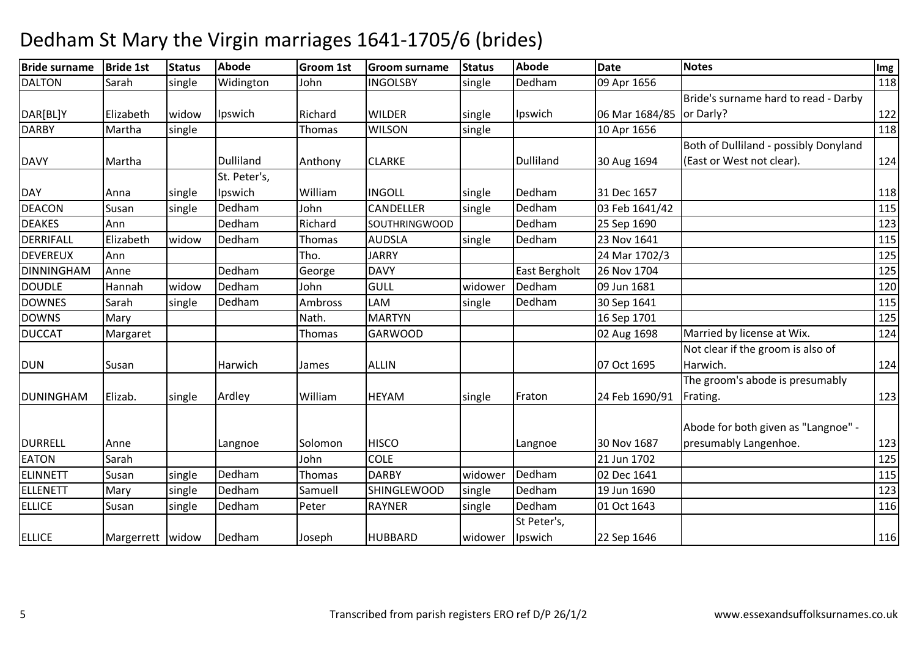| <b>Bride surname</b> | <b>Bride 1st</b>   | <b>Status</b> | <b>Abode</b>     | <b>Groom 1st</b> | <b>Groom surname</b> | <b>Status</b> | Abode         | <b>Date</b>    | <b>Notes</b>                          | Img |
|----------------------|--------------------|---------------|------------------|------------------|----------------------|---------------|---------------|----------------|---------------------------------------|-----|
| <b>DALTON</b>        | Sarah              | single        | Widington        | John             | <b>INGOLSBY</b>      | single        | Dedham        | 09 Apr 1656    |                                       | 118 |
|                      |                    |               |                  |                  |                      |               |               |                | Bride's surname hard to read - Darby  |     |
| DAR[BL]Y             | Elizabeth          | widow         | Ipswich          | Richard          | <b>WILDER</b>        | single        | Ipswich       | 06 Mar 1684/85 | or Darly?                             | 122 |
| <b>DARBY</b>         | Martha             | single        |                  | Thomas           | <b>WILSON</b>        | single        |               | 10 Apr 1656    |                                       | 118 |
|                      |                    |               |                  |                  |                      |               |               |                | Both of Dulliland - possibly Donyland |     |
| <b>DAVY</b>          | Martha             |               | <b>Dulliland</b> | Anthony          | <b>CLARKE</b>        |               | Dulliland     | 30 Aug 1694    | (East or West not clear).             | 124 |
|                      |                    |               | St. Peter's,     |                  |                      |               |               |                |                                       |     |
| <b>DAY</b>           | Anna               | single        | Ipswich          | William          | <b>INGOLL</b>        | single        | Dedham        | 31 Dec 1657    |                                       | 118 |
| <b>DEACON</b>        | Susan              | single        | Dedham           | John             | CANDELLER            | single        | Dedham        | 03 Feb 1641/42 |                                       | 115 |
| <b>DEAKES</b>        | Ann                |               | Dedham           | Richard          | <b>SOUTHRINGWOOD</b> |               | Dedham        | 25 Sep 1690    |                                       | 123 |
| DERRIFALL            | Elizabeth          | widow         | Dedham           | Thomas           | <b>AUDSLA</b>        | single        | Dedham        | 23 Nov 1641    |                                       | 115 |
| <b>DEVEREUX</b>      | Ann                |               |                  | Tho.             | <b>JARRY</b>         |               |               | 24 Mar 1702/3  |                                       | 125 |
| DINNINGHAM           | Anne               |               | Dedham           | George           | <b>DAVY</b>          |               | East Bergholt | 26 Nov 1704    |                                       | 125 |
| <b>DOUDLE</b>        | Hannah             | widow         | Dedham           | John             | <b>GULL</b>          | widower       | Dedham        | 09 Jun 1681    |                                       | 120 |
| <b>DOWNES</b>        | Sarah              | single        | Dedham           | Ambross          | LAM                  | single        | Dedham        | 30 Sep 1641    |                                       | 115 |
| <b>DOWNS</b>         | Mary               |               |                  | Nath.            | <b>MARTYN</b>        |               |               | 16 Sep 1701    |                                       | 125 |
| <b>DUCCAT</b>        | Margaret           |               |                  | Thomas           | <b>GARWOOD</b>       |               |               | 02 Aug 1698    | Married by license at Wix.            | 124 |
|                      |                    |               |                  |                  |                      |               |               |                | Not clear if the groom is also of     |     |
| <b>DUN</b>           | Susan              |               | Harwich          | James            | <b>ALLIN</b>         |               |               | 07 Oct 1695    | Harwich.                              | 124 |
|                      |                    |               |                  |                  |                      |               |               |                | The groom's abode is presumably       |     |
| DUNINGHAM            | Elizab.            | single        | Ardley           | William          | <b>HEYAM</b>         | single        | Fraton        | 24 Feb 1690/91 | Frating.                              | 123 |
|                      |                    |               |                  |                  |                      |               |               |                |                                       |     |
|                      |                    |               |                  |                  |                      |               |               |                | Abode for both given as "Langnoe" -   |     |
| <b>DURRELL</b>       | Anne               |               | Langnoe          | Solomon          | <b>HISCO</b>         |               | Langnoe       | 30 Nov 1687    | presumably Langenhoe.                 | 123 |
| <b>EATON</b>         | Sarah              |               |                  | John             | <b>COLE</b>          |               |               | 21 Jun 1702    |                                       | 125 |
| <b>ELINNETT</b>      | Susan              | single        | Dedham           | Thomas           | <b>DARBY</b>         | widower       | Dedham        | 02 Dec 1641    |                                       | 115 |
| <b>ELLENETT</b>      | Mary               | single        | Dedham           | Samuell          | <b>SHINGLEWOOD</b>   | single        | Dedham        | 19 Jun 1690    |                                       | 123 |
| <b>ELLICE</b>        | Susan              | single        | Dedham           | Peter            | <b>RAYNER</b>        | single        | Dedham        | 01 Oct 1643    |                                       | 116 |
|                      |                    |               |                  |                  |                      |               | St Peter's,   |                |                                       |     |
| <b>ELLICE</b>        | Margerrett   widow |               | Dedham           | Joseph           | <b>HUBBARD</b>       | widower       | Ipswich       | 22 Sep 1646    |                                       | 116 |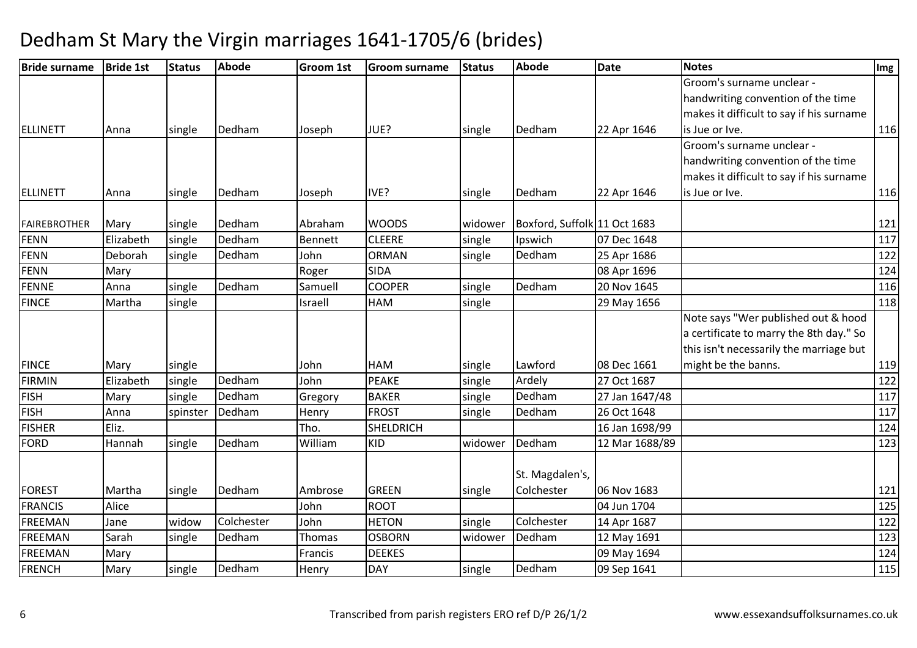| <b>Bride surname</b> | <b>Bride 1st</b> | <b>Status</b> | <b>Abode</b> | <b>Groom 1st</b> | <b>Groom surname</b> | <b>Status</b> | <b>Abode</b>                 | <b>Date</b>    | <b>Notes</b>                             | Img |
|----------------------|------------------|---------------|--------------|------------------|----------------------|---------------|------------------------------|----------------|------------------------------------------|-----|
|                      |                  |               |              |                  |                      |               |                              |                | Groom's surname unclear -                |     |
|                      |                  |               |              |                  |                      |               |                              |                | handwriting convention of the time       |     |
|                      |                  |               |              |                  |                      |               |                              |                | makes it difficult to say if his surname |     |
| ELLINETT             | Anna             | single        | Dedham       | Joseph           | JUE?                 | single        | Dedham                       | 22 Apr 1646    | is Jue or Ive.                           | 116 |
|                      |                  |               |              |                  |                      |               |                              |                | Groom's surname unclear -                |     |
|                      |                  |               |              |                  |                      |               |                              |                | handwriting convention of the time       |     |
|                      |                  |               |              |                  |                      |               |                              |                | makes it difficult to say if his surname |     |
| <b>ELLINETT</b>      | Anna             | single        | Dedham       | Joseph           | IVE?                 | single        | Dedham                       | 22 Apr 1646    | is Jue or Ive.                           | 116 |
| <b>FAIREBROTHER</b>  | Mary             | single        | Dedham       | Abraham          | <b>WOODS</b>         | widower       | Boxford, Suffolk 11 Oct 1683 |                |                                          | 121 |
| <b>FENN</b>          | Elizabeth        | single        | Dedham       | Bennett          | <b>CLEERE</b>        | single        | Ipswich                      | 07 Dec 1648    |                                          | 117 |
| <b>FENN</b>          | Deborah          | single        | Dedham       | John             | <b>ORMAN</b>         | single        | Dedham                       | 25 Apr 1686    |                                          | 122 |
| <b>FENN</b>          | Mary             |               |              | Roger            | <b>SIDA</b>          |               |                              | 08 Apr 1696    |                                          | 124 |
| <b>FENNE</b>         | Anna             | single        | Dedham       | Samuell          | <b>COOPER</b>        | single        | Dedham                       | 20 Nov 1645    |                                          | 116 |
| <b>FINCE</b>         | Martha           | single        |              | Israell          | HAM                  | single        |                              | 29 May 1656    |                                          | 118 |
|                      |                  |               |              |                  |                      |               |                              |                | Note says "Wer published out & hood      |     |
|                      |                  |               |              |                  |                      |               |                              |                | a certificate to marry the 8th day." So  |     |
|                      |                  |               |              |                  |                      |               |                              |                | this isn't necessarily the marriage but  |     |
| <b>FINCE</b>         | Mary             | single        |              | John             | HAM                  | single        | Lawford                      | 08 Dec 1661    | might be the banns.                      | 119 |
| <b>FIRMIN</b>        | Elizabeth        | single        | Dedham       | John             | PEAKE                | single        | Ardely                       | 27 Oct 1687    |                                          | 122 |
| <b>FISH</b>          | Mary             | single        | Dedham       | Gregory          | <b>BAKER</b>         | single        | Dedham                       | 27 Jan 1647/48 |                                          | 117 |
| <b>FISH</b>          | Anna             | spinster      | Dedham       | Henry            | <b>FROST</b>         | single        | Dedham                       | 26 Oct 1648    |                                          | 117 |
| <b>FISHER</b>        | Eliz.            |               |              | Tho.             | <b>SHELDRICH</b>     |               |                              | 16 Jan 1698/99 |                                          | 124 |
| <b>FORD</b>          | Hannah           | single        | Dedham       | William          | <b>KID</b>           | widower       | Dedham                       | 12 Mar 1688/89 |                                          | 123 |
|                      |                  |               |              |                  |                      |               |                              |                |                                          |     |
|                      |                  |               |              |                  |                      |               | St. Magdalen's,              |                |                                          |     |
| <b>FOREST</b>        | Martha           | single        | Dedham       | Ambrose          | <b>GREEN</b>         | single        | Colchester                   | 06 Nov 1683    |                                          | 121 |
| <b>FRANCIS</b>       | Alice            |               |              | John             | <b>ROOT</b>          |               |                              | 04 Jun 1704    |                                          | 125 |
| <b>FREEMAN</b>       | Jane             | widow         | Colchester   | John             | <b>HETON</b>         | single        | Colchester                   | 14 Apr 1687    |                                          | 122 |
| <b>FREEMAN</b>       | Sarah            | single        | Dedham       | Thomas           | <b>OSBORN</b>        | widower       | Dedham                       | 12 May 1691    |                                          | 123 |
| <b>FREEMAN</b>       | Mary             |               |              | Francis          | <b>DEEKES</b>        |               |                              | 09 May 1694    |                                          | 124 |
| <b>FRENCH</b>        | Mary             | single        | Dedham       | Henry            | DAY                  | single        | Dedham                       | 09 Sep 1641    |                                          | 115 |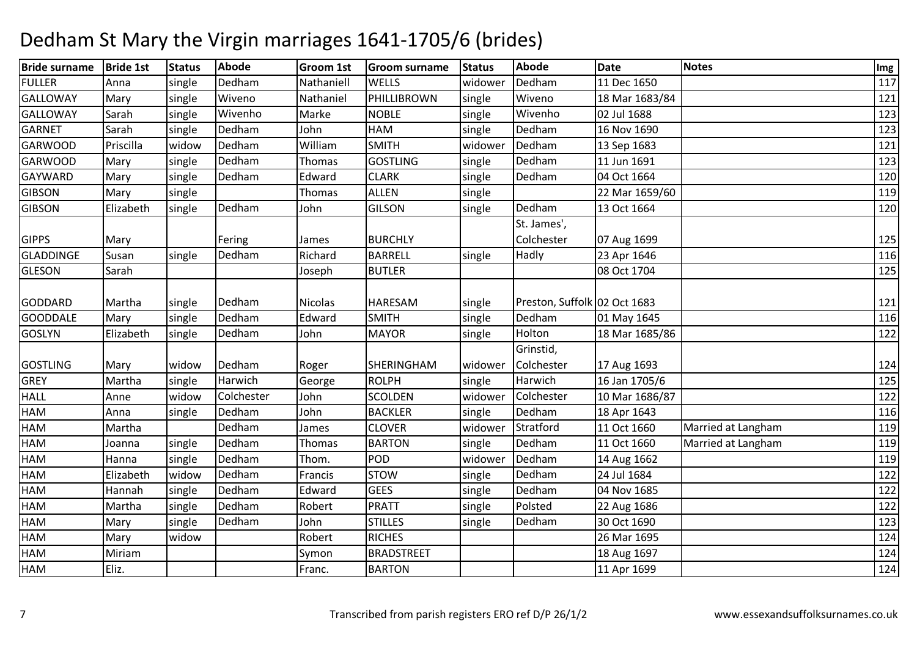| <b>Bride surname</b> | <b>Bride 1st</b> | <b>Status</b> | <b>Abode</b> | <b>Groom 1st</b> | <b>Groom surname</b> | <b>Status</b> | <b>Abode</b>                 | <b>Date</b>    | <b>Notes</b>       | Img |
|----------------------|------------------|---------------|--------------|------------------|----------------------|---------------|------------------------------|----------------|--------------------|-----|
| <b>FULLER</b>        | Anna             | single        | Dedham       | Nathaniell       | <b>WELLS</b>         | widower       | Dedham                       | 11 Dec 1650    |                    | 117 |
| <b>GALLOWAY</b>      | Mary             | single        | Wiveno       | Nathaniel        | PHILLIBROWN          | single        | Wiveno                       | 18 Mar 1683/84 |                    | 121 |
| <b>GALLOWAY</b>      | Sarah            | single        | Wivenho      | Marke            | <b>NOBLE</b>         | single        | Wivenho                      | 02 Jul 1688    |                    | 123 |
| <b>GARNET</b>        | Sarah            | single        | Dedham       | John             | <b>HAM</b>           | single        | Dedham                       | 16 Nov 1690    |                    | 123 |
| <b>GARWOOD</b>       | Priscilla        | widow         | Dedham       | William          | <b>SMITH</b>         | widower       | Dedham                       | 13 Sep 1683    |                    | 121 |
| <b>GARWOOD</b>       | Mary             | single        | Dedham       | Thomas           | <b>GOSTLING</b>      | single        | Dedham                       | 11 Jun 1691    |                    | 123 |
| <b>GAYWARD</b>       | Mary             | single        | Dedham       | Edward           | <b>CLARK</b>         | single        | Dedham                       | 04 Oct 1664    |                    | 120 |
| <b>GIBSON</b>        | Mary             | single        |              | Thomas           | <b>ALLEN</b>         | single        |                              | 22 Mar 1659/60 |                    | 119 |
| <b>GIBSON</b>        | Elizabeth        | single        | Dedham       | John             | <b>GILSON</b>        | single        | Dedham                       | 13 Oct 1664    |                    | 120 |
|                      |                  |               |              |                  |                      |               | St. James',                  |                |                    |     |
| <b>GIPPS</b>         | Mary             |               | Fering       | James            | <b>BURCHLY</b>       |               | Colchester                   | 07 Aug 1699    |                    | 125 |
| <b>GLADDINGE</b>     | Susan            | single        | Dedham       | Richard          | <b>BARRELL</b>       | single        | Hadly                        | 23 Apr 1646    |                    | 116 |
| <b>GLESON</b>        | Sarah            |               |              | Joseph           | <b>BUTLER</b>        |               |                              | 08 Oct 1704    |                    | 125 |
|                      |                  |               |              |                  |                      |               |                              |                |                    |     |
| <b>GODDARD</b>       | Martha           | single        | Dedham       | <b>Nicolas</b>   | <b>HARESAM</b>       | single        | Preston, Suffolk 02 Oct 1683 |                |                    | 121 |
| <b>GOODDALE</b>      | Mary             | single        | Dedham       | Edward           | <b>SMITH</b>         | single        | Dedham                       | 01 May 1645    |                    | 116 |
| <b>GOSLYN</b>        | Elizabeth        | single        | Dedham       | John             | <b>MAYOR</b>         | single        | Holton                       | 18 Mar 1685/86 |                    | 122 |
|                      |                  |               |              |                  |                      |               | Grinstid,                    |                |                    |     |
| <b>GOSTLING</b>      | Mary             | widow         | Dedham       | Roger            | SHERINGHAM           | widower       | Colchester                   | 17 Aug 1693    |                    | 124 |
| <b>GREY</b>          | Martha           | single        | Harwich      | George           | <b>ROLPH</b>         | single        | Harwich                      | 16 Jan 1705/6  |                    | 125 |
| <b>HALL</b>          | Anne             | widow         | Colchester   | John             | <b>SCOLDEN</b>       | widower       | Colchester                   | 10 Mar 1686/87 |                    | 122 |
| HAM                  | Anna             | single        | Dedham       | John             | <b>BACKLER</b>       | single        | Dedham                       | 18 Apr 1643    |                    | 116 |
| HAM                  | Martha           |               | Dedham       | James            | <b>CLOVER</b>        | widower       | Stratford                    | 11 Oct 1660    | Married at Langham | 119 |
| HAM                  | Joanna           | single        | Dedham       | Thomas           | <b>BARTON</b>        | single        | Dedham                       | 11 Oct 1660    | Married at Langham | 119 |
| HAM                  | Hanna            | single        | Dedham       | Thom.            | POD                  | widower       | Dedham                       | 14 Aug 1662    |                    | 119 |
| HAM                  | Elizabeth        | widow         | Dedham       | Francis          | <b>STOW</b>          | single        | Dedham                       | 24 Jul 1684    |                    | 122 |
| HAM                  | Hannah           | single        | Dedham       | Edward           | <b>GEES</b>          | single        | Dedham                       | 04 Nov 1685    |                    | 122 |
| HAM                  | Martha           | single        | Dedham       | Robert           | <b>PRATT</b>         | single        | Polsted                      | 22 Aug 1686    |                    | 122 |
| HAM                  | Mary             | single        | Dedham       | John             | <b>STILLES</b>       | single        | Dedham                       | 30 Oct 1690    |                    | 123 |
| HAM                  | Mary             | widow         |              | Robert           | <b>RICHES</b>        |               |                              | 26 Mar 1695    |                    | 124 |
| HAM                  | Miriam           |               |              | Symon            | <b>BRADSTREET</b>    |               |                              | 18 Aug 1697    |                    | 124 |
| HAM                  | Eliz.            |               |              | Franc.           | <b>BARTON</b>        |               |                              | 11 Apr 1699    |                    | 124 |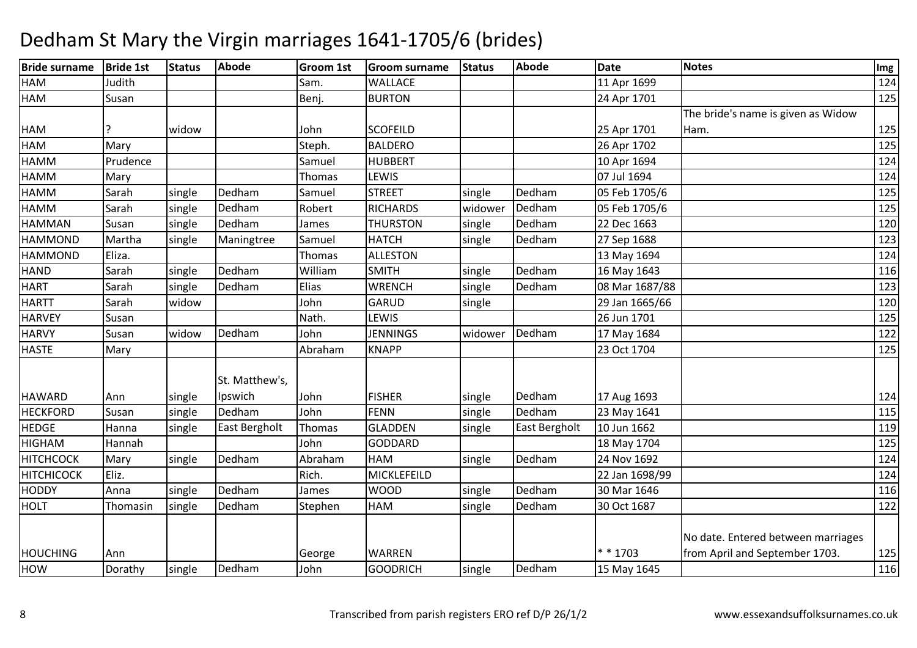| <b>Bride surname</b> | <b>Bride 1st</b> | <b>Status</b> | <b>Abode</b>   | <b>Groom 1st</b> | <b>Groom surname</b> | <b>Status</b> | <b>Abode</b>  | <b>Date</b>    | <b>Notes</b>                       | Img |
|----------------------|------------------|---------------|----------------|------------------|----------------------|---------------|---------------|----------------|------------------------------------|-----|
| <b>HAM</b>           | Judith           |               |                | Sam.             | <b>WALLACE</b>       |               |               | 11 Apr 1699    |                                    | 124 |
| HAM                  | Susan            |               |                | Benj.            | <b>BURTON</b>        |               |               | 24 Apr 1701    |                                    | 125 |
|                      |                  |               |                |                  |                      |               |               |                | The bride's name is given as Widow |     |
| HAM                  |                  | widow         |                | John             | <b>SCOFEILD</b>      |               |               | 25 Apr 1701    | Ham.                               | 125 |
| <b>HAM</b>           | Mary             |               |                | Steph.           | <b>BALDERO</b>       |               |               | 26 Apr 1702    |                                    | 125 |
| <b>HAMM</b>          | Prudence         |               |                | Samuel           | <b>HUBBERT</b>       |               |               | 10 Apr 1694    |                                    | 124 |
| <b>HAMM</b>          | Mary             |               |                | Thomas           | LEWIS                |               |               | 07 Jul 1694    |                                    | 124 |
| <b>HAMM</b>          | Sarah            | single        | Dedham         | Samuel           | <b>STREET</b>        | single        | Dedham        | 05 Feb 1705/6  |                                    | 125 |
| <b>HAMM</b>          | Sarah            | single        | Dedham         | Robert           | <b>RICHARDS</b>      | widower       | Dedham        | 05 Feb 1705/6  |                                    | 125 |
| <b>HAMMAN</b>        | Susan            | single        | Dedham         | James            | <b>THURSTON</b>      | single        | Dedham        | 22 Dec 1663    |                                    | 120 |
| <b>HAMMOND</b>       | Martha           | single        | Maningtree     | Samuel           | <b>HATCH</b>         | single        | Dedham        | 27 Sep 1688    |                                    | 123 |
| <b>HAMMOND</b>       | Eliza.           |               |                | Thomas           | <b>ALLESTON</b>      |               |               | 13 May 1694    |                                    | 124 |
| <b>HAND</b>          | Sarah            | single        | Dedham         | William          | <b>SMITH</b>         | single        | Dedham        | 16 May 1643    |                                    | 116 |
| <b>HART</b>          | Sarah            | single        | Dedham         | Elias            | <b>WRENCH</b>        | single        | Dedham        | 08 Mar 1687/88 |                                    | 123 |
| <b>HARTT</b>         | Sarah            | widow         |                | John             | GARUD                | single        |               | 29 Jan 1665/66 |                                    | 120 |
| <b>HARVEY</b>        | Susan            |               |                | Nath.            | LEWIS                |               |               | 26 Jun 1701    |                                    | 125 |
| <b>HARVY</b>         | Susan            | widow         | Dedham         | John             | <b>JENNINGS</b>      | widower       | Dedham        | 17 May 1684    |                                    | 122 |
| <b>HASTE</b>         | Mary             |               |                | Abraham          | <b>KNAPP</b>         |               |               | 23 Oct 1704    |                                    | 125 |
|                      |                  |               | St. Matthew's, |                  |                      |               |               |                |                                    |     |
| <b>HAWARD</b>        | Ann              | single        | Ipswich        | John             | <b>FISHER</b>        | single        | Dedham        | 17 Aug 1693    |                                    | 124 |
| <b>HECKFORD</b>      | Susan            | single        | Dedham         | John             | FENN                 | single        | Dedham        | 23 May 1641    |                                    | 115 |
| <b>HEDGE</b>         | Hanna            | single        | East Bergholt  | Thomas           | <b>GLADDEN</b>       | single        | East Bergholt | 10 Jun 1662    |                                    | 119 |
| <b>HIGHAM</b>        | Hannah           |               |                | John             | <b>GODDARD</b>       |               |               | 18 May 1704    |                                    | 125 |
| <b>HITCHCOCK</b>     | Mary             | single        | Dedham         | Abraham          | <b>HAM</b>           | single        | Dedham        | 24 Nov 1692    |                                    | 124 |
| <b>HITCHICOCK</b>    | Eliz.            |               |                | Rich.            | <b>MICKLEFEILD</b>   |               |               | 22 Jan 1698/99 |                                    | 124 |
| <b>HODDY</b>         | Anna             | single        | Dedham         | James            | <b>WOOD</b>          | single        | Dedham        | 30 Mar 1646    |                                    | 116 |
| <b>HOLT</b>          | Thomasin         | single        | Dedham         | Stephen          | <b>HAM</b>           | single        | Dedham        | 30 Oct 1687    |                                    | 122 |
|                      |                  |               |                |                  |                      |               |               |                | No date. Entered between marriages |     |
| <b>HOUCHING</b>      | Ann              |               |                | George           | <b>WARREN</b>        |               |               | * * 1703       | from April and September 1703.     | 125 |
| HOW                  | Dorathy          | single        | Dedham         | John             | <b>GOODRICH</b>      | single        | Dedham        | 15 May 1645    |                                    | 116 |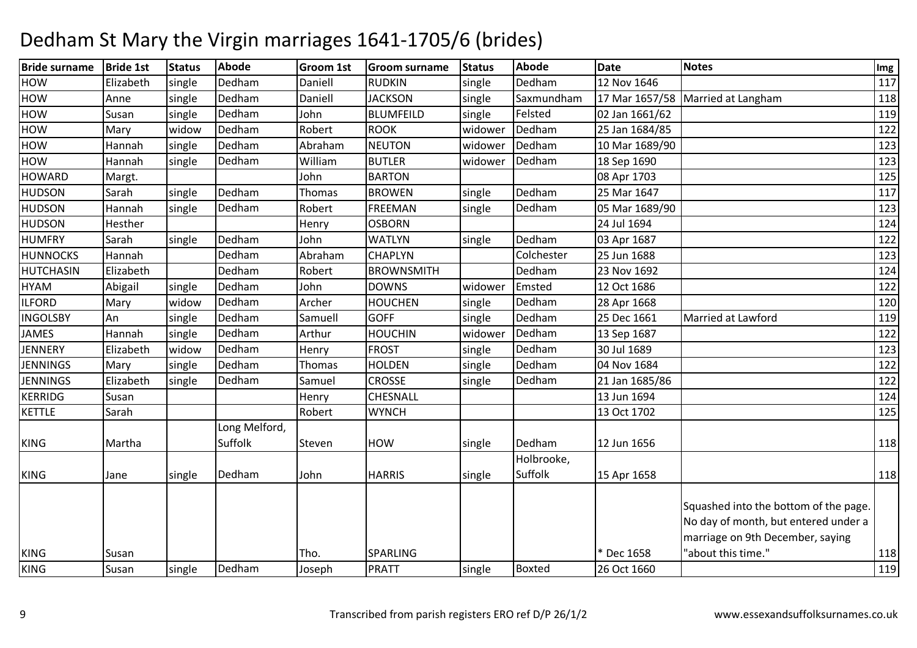| <b>Bride surname</b> | <b>Bride 1st</b> | <b>Status</b> | <b>Abode</b>  | Groom 1st | <b>Groom surname</b> | <b>Status</b> | <b>Abode</b>  | <b>Date</b>    | <b>Notes</b>                                                                                                      | Img |
|----------------------|------------------|---------------|---------------|-----------|----------------------|---------------|---------------|----------------|-------------------------------------------------------------------------------------------------------------------|-----|
| HOW                  | Elizabeth        | single        | Dedham        | Daniell   | <b>RUDKIN</b>        | single        | Dedham        | 12 Nov 1646    |                                                                                                                   | 117 |
| HOW                  | Anne             | single        | Dedham        | Daniell   | <b>JACKSON</b>       | single        | Saxmundham    |                | 17 Mar 1657/58 Married at Langham                                                                                 | 118 |
| HOW                  | Susan            | single        | Dedham        | John      | <b>BLUMFEILD</b>     | single        | Felsted       | 02 Jan 1661/62 |                                                                                                                   | 119 |
| HOW                  | Mary             | widow         | Dedham        | Robert    | <b>ROOK</b>          | widower       | Dedham        | 25 Jan 1684/85 |                                                                                                                   | 122 |
| HOW                  | Hannah           | single        | Dedham        | Abraham   | <b>NEUTON</b>        | widower       | Dedham        | 10 Mar 1689/90 |                                                                                                                   | 123 |
| HOW                  | Hannah           | single        | Dedham        | William   | <b>BUTLER</b>        | widower       | Dedham        | 18 Sep 1690    |                                                                                                                   | 123 |
| <b>HOWARD</b>        | Margt.           |               |               | John      | <b>BARTON</b>        |               |               | 08 Apr 1703    |                                                                                                                   | 125 |
| <b>HUDSON</b>        | Sarah            | single        | Dedham        | Thomas    | <b>BROWEN</b>        | single        | Dedham        | 25 Mar 1647    |                                                                                                                   | 117 |
| <b>HUDSON</b>        | Hannah           | single        | Dedham        | Robert    | <b>FREEMAN</b>       | single        | Dedham        | 05 Mar 1689/90 |                                                                                                                   | 123 |
| <b>HUDSON</b>        | Hesther          |               |               | Henry     | <b>OSBORN</b>        |               |               | 24 Jul 1694    |                                                                                                                   | 124 |
| <b>HUMFRY</b>        | Sarah            | single        | Dedham        | John      | <b>WATLYN</b>        | single        | Dedham        | 03 Apr 1687    |                                                                                                                   | 122 |
| <b>HUNNOCKS</b>      | Hannah           |               | Dedham        | Abraham   | CHAPLYN              |               | Colchester    | 25 Jun 1688    |                                                                                                                   | 123 |
| <b>HUTCHASIN</b>     | Elizabeth        |               | Dedham        | Robert    | <b>BROWNSMITH</b>    |               | Dedham        | 23 Nov 1692    |                                                                                                                   | 124 |
| <b>HYAM</b>          | Abigail          | single        | Dedham        | John      | <b>DOWNS</b>         | widower       | Emsted        | 12 Oct 1686    |                                                                                                                   | 122 |
| <b>ILFORD</b>        | Mary             | widow         | Dedham        | Archer    | <b>HOUCHEN</b>       | single        | Dedham        | 28 Apr 1668    |                                                                                                                   | 120 |
| <b>INGOLSBY</b>      | An               | single        | Dedham        | Samuell   | <b>GOFF</b>          | single        | Dedham        | 25 Dec 1661    | Married at Lawford                                                                                                | 119 |
| <b>JAMES</b>         | Hannah           | single        | Dedham        | Arthur    | <b>HOUCHIN</b>       | widower       | Dedham        | 13 Sep 1687    |                                                                                                                   | 122 |
| <b>JENNERY</b>       | Elizabeth        | widow         | Dedham        | Henry     | <b>FROST</b>         | single        | Dedham        | 30 Jul 1689    |                                                                                                                   | 123 |
| <b>JENNINGS</b>      | Mary             | single        | Dedham        | Thomas    | <b>HOLDEN</b>        | single        | Dedham        | 04 Nov 1684    |                                                                                                                   | 122 |
| <b>JENNINGS</b>      | Elizabeth        | single        | Dedham        | Samuel    | <b>CROSSE</b>        | single        | Dedham        | 21 Jan 1685/86 |                                                                                                                   | 122 |
| <b>KERRIDG</b>       | Susan            |               |               | Henry     | CHESNALL             |               |               | 13 Jun 1694    |                                                                                                                   | 124 |
| <b>KETTLE</b>        | Sarah            |               |               | Robert    | <b>WYNCH</b>         |               |               | 13 Oct 1702    |                                                                                                                   | 125 |
|                      |                  |               | Long Melford, |           |                      |               |               |                |                                                                                                                   |     |
| <b>KING</b>          | Martha           |               | Suffolk       | Steven    | <b>HOW</b>           | single        | Dedham        | 12 Jun 1656    |                                                                                                                   | 118 |
|                      |                  |               |               |           |                      |               | Holbrooke,    |                |                                                                                                                   |     |
| <b>KING</b>          | Jane             | single        | Dedham        | John      | <b>HARRIS</b>        | single        | Suffolk       | 15 Apr 1658    |                                                                                                                   | 118 |
|                      |                  |               |               |           |                      |               |               |                | Squashed into the bottom of the page.<br>No day of month, but entered under a<br>marriage on 9th December, saying |     |
| <b>KING</b>          | Susan            |               |               | Tho.      | <b>SPARLING</b>      |               |               | * Dec 1658     | "about this time."                                                                                                | 118 |
| <b>KING</b>          | Susan            | single        | Dedham        | Joseph    | PRATT                | single        | <b>Boxted</b> | 26 Oct 1660    |                                                                                                                   | 119 |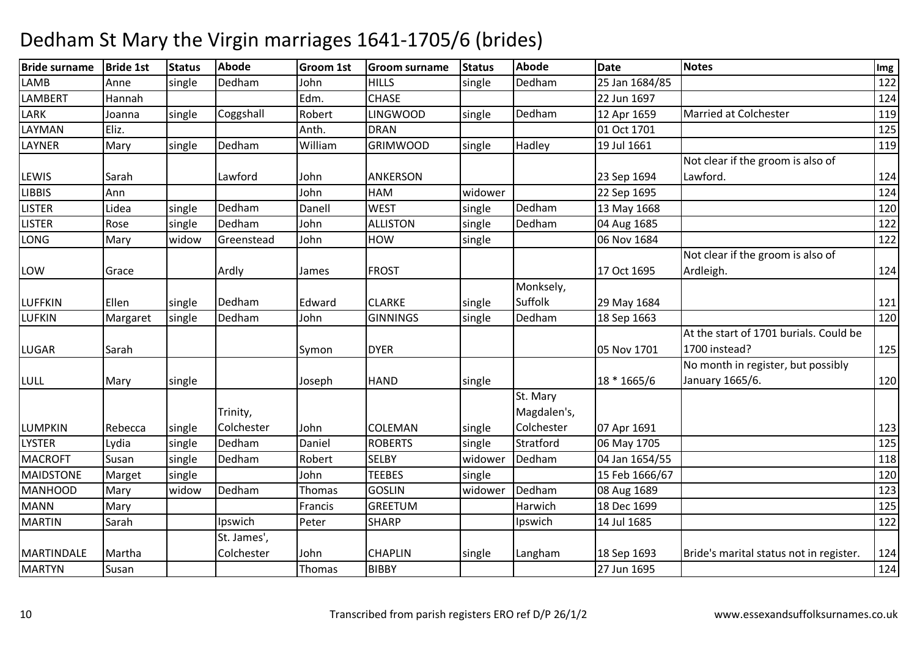| <b>Bride surname</b> | <b>Bride 1st</b> | <b>Status</b> | <b>Abode</b> | <b>Groom 1st</b> | <b>Groom surname</b> | <b>Status</b> | <b>Abode</b> | <b>Date</b>    | <b>Notes</b>                            | Img |
|----------------------|------------------|---------------|--------------|------------------|----------------------|---------------|--------------|----------------|-----------------------------------------|-----|
| LAMB                 | Anne             | single        | Dedham       | John             | <b>HILLS</b>         | single        | Dedham       | 25 Jan 1684/85 |                                         | 122 |
| <b>LAMBERT</b>       | Hannah           |               |              | Edm.             | <b>CHASE</b>         |               |              | 22 Jun 1697    |                                         | 124 |
| LARK                 | Joanna           | single        | Coggshall    | Robert           | <b>LINGWOOD</b>      | single        | Dedham       | 12 Apr 1659    | <b>Married at Colchester</b>            | 119 |
| LAYMAN               | Eliz.            |               |              | Anth.            | <b>DRAN</b>          |               |              | 01 Oct 1701    |                                         | 125 |
| LAYNER               | Mary             | single        | Dedham       | William          | <b>GRIMWOOD</b>      | single        | Hadley       | 19 Jul 1661    |                                         | 119 |
|                      |                  |               |              |                  |                      |               |              |                | Not clear if the groom is also of       |     |
| LEWIS                | Sarah            |               | Lawford      | John             | <b>ANKERSON</b>      |               |              | 23 Sep 1694    | Lawford.                                | 124 |
| <b>LIBBIS</b>        | Ann              |               |              | John             | <b>HAM</b>           | widower       |              | 22 Sep 1695    |                                         | 124 |
| <b>LISTER</b>        | Lidea            | single        | Dedham       | Danell           | <b>WEST</b>          | single        | Dedham       | 13 May 1668    |                                         | 120 |
| <b>LISTER</b>        | Rose             | single        | Dedham       | John             | <b>ALLISTON</b>      | single        | Dedham       | 04 Aug 1685    |                                         | 122 |
| LONG                 | Mary             | widow         | Greenstead   | John             | <b>HOW</b>           | single        |              | 06 Nov 1684    |                                         | 122 |
|                      |                  |               |              |                  |                      |               |              |                | Not clear if the groom is also of       |     |
| LOW                  | Grace            |               | Ardly        | James            | <b>FROST</b>         |               |              | 17 Oct 1695    | Ardleigh.                               | 124 |
|                      |                  |               |              |                  |                      |               | Monksely,    |                |                                         |     |
| <b>LUFFKIN</b>       | Ellen            | single        | Dedham       | Edward           | <b>CLARKE</b>        | single        | Suffolk      | 29 May 1684    |                                         | 121 |
| <b>LUFKIN</b>        | Margaret         | single        | Dedham       | John             | <b>GINNINGS</b>      | single        | Dedham       | 18 Sep 1663    |                                         | 120 |
|                      |                  |               |              |                  |                      |               |              |                | At the start of 1701 burials. Could be  |     |
| <b>LUGAR</b>         | Sarah            |               |              | Symon            | <b>DYER</b>          |               |              | 05 Nov 1701    | 1700 instead?                           | 125 |
|                      |                  |               |              |                  |                      |               |              |                | No month in register, but possibly      |     |
| <b>LULL</b>          | Mary             | single        |              | Joseph           | <b>HAND</b>          | single        |              | 18 * 1665/6    | January 1665/6.                         | 120 |
|                      |                  |               |              |                  |                      |               | St. Mary     |                |                                         |     |
|                      |                  |               | Trinity,     |                  |                      |               | Magdalen's,  |                |                                         |     |
| <b>LUMPKIN</b>       | Rebecca          | single        | Colchester   | John             | COLEMAN              | single        | Colchester   | 07 Apr 1691    |                                         | 123 |
| <b>LYSTER</b>        | Lydia            | single        | Dedham       | Daniel           | <b>ROBERTS</b>       | single        | Stratford    | 06 May 1705    |                                         | 125 |
| <b>MACROFT</b>       | Susan            | single        | Dedham       | Robert           | <b>SELBY</b>         | widower       | Dedham       | 04 Jan 1654/55 |                                         | 118 |
| <b>MAIDSTONE</b>     | Marget           | single        |              | John             | <b>TEEBES</b>        | single        |              | 15 Feb 1666/67 |                                         | 120 |
| <b>MANHOOD</b>       | Mary             | widow         | Dedham       | Thomas           | <b>GOSLIN</b>        | widower       | Dedham       | 08 Aug 1689    |                                         | 123 |
| <b>MANN</b>          | Mary             |               |              | Francis          | <b>GREETUM</b>       |               | Harwich      | 18 Dec 1699    |                                         | 125 |
| <b>MARTIN</b>        | Sarah            |               | Ipswich      | Peter            | <b>SHARP</b>         |               | Ipswich      | 14 Jul 1685    |                                         | 122 |
|                      |                  |               | St. James',  |                  |                      |               |              |                |                                         |     |
| <b>MARTINDALE</b>    | Martha           |               | Colchester   | John             | <b>CHAPLIN</b>       | single        | Langham      | 18 Sep 1693    | Bride's marital status not in register. | 124 |
| <b>MARTYN</b>        | Susan            |               |              | Thomas           | <b>BIBBY</b>         |               |              | 27 Jun 1695    |                                         | 124 |
|                      |                  |               |              |                  |                      |               |              |                |                                         |     |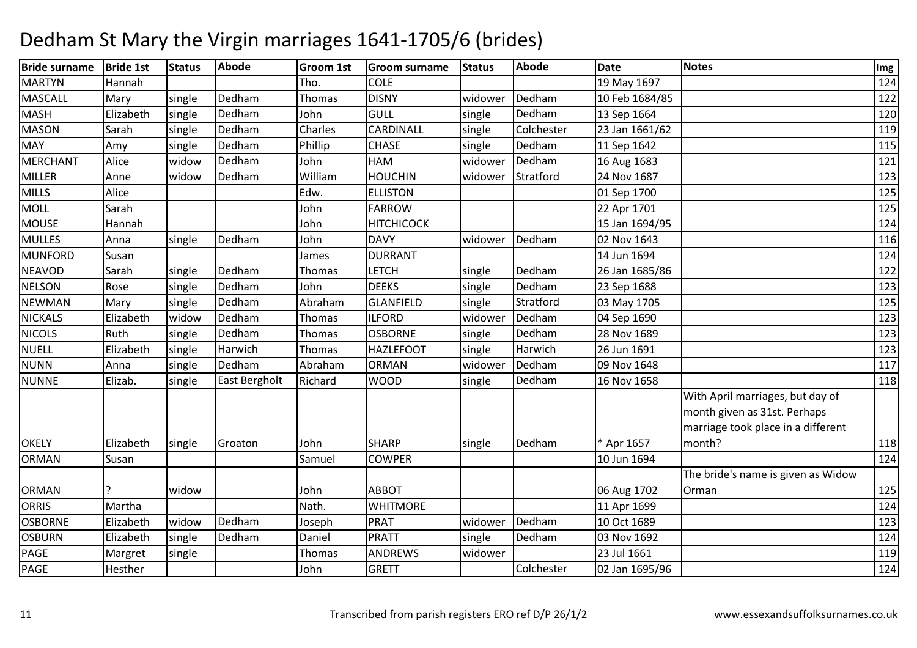| <b>Bride surname</b> | <b>Bride 1st</b> | <b>Status</b> | <b>Abode</b>  | <b>Groom 1st</b> | <b>Groom surname</b> | <b>Status</b> | <b>Abode</b> | <b>Date</b>    | <b>Notes</b>                                                                                                     | Img |
|----------------------|------------------|---------------|---------------|------------------|----------------------|---------------|--------------|----------------|------------------------------------------------------------------------------------------------------------------|-----|
| <b>MARTYN</b>        | Hannah           |               |               | Tho.             | <b>COLE</b>          |               |              | 19 May 1697    |                                                                                                                  | 124 |
| <b>MASCALL</b>       | Mary             | single        | Dedham        | Thomas           | <b>DISNY</b>         | widower       | Dedham       | 10 Feb 1684/85 |                                                                                                                  | 122 |
| <b>MASH</b>          | Elizabeth        | single        | Dedham        | John             | <b>GULL</b>          | single        | Dedham       | 13 Sep 1664    |                                                                                                                  | 120 |
| <b>MASON</b>         | Sarah            | single        | Dedham        | Charles          | CARDINALL            | single        | Colchester   | 23 Jan 1661/62 |                                                                                                                  | 119 |
| <b>MAY</b>           | Amy              | single        | Dedham        | Phillip          | <b>CHASE</b>         | single        | Dedham       | 11 Sep 1642    |                                                                                                                  | 115 |
| <b>MERCHANT</b>      | Alice            | widow         | Dedham        | John             | <b>HAM</b>           | widower       | Dedham       | 16 Aug 1683    |                                                                                                                  | 121 |
| MILLER               | Anne             | widow         | Dedham        | William          | <b>HOUCHIN</b>       | widower       | Stratford    | 24 Nov 1687    |                                                                                                                  | 123 |
| <b>MILLS</b>         | Alice            |               |               | Edw.             | <b>ELLISTON</b>      |               |              | 01 Sep 1700    |                                                                                                                  | 125 |
| <b>MOLL</b>          | Sarah            |               |               | John             | <b>FARROW</b>        |               |              | 22 Apr 1701    |                                                                                                                  | 125 |
| <b>MOUSE</b>         | Hannah           |               |               | John             | <b>HITCHICOCK</b>    |               |              | 15 Jan 1694/95 |                                                                                                                  | 124 |
| <b>MULLES</b>        | Anna             | single        | Dedham        | John             | <b>DAVY</b>          | widower       | Dedham       | 02 Nov 1643    |                                                                                                                  | 116 |
| <b>MUNFORD</b>       | Susan            |               |               | James            | <b>DURRANT</b>       |               |              | 14 Jun 1694    |                                                                                                                  | 124 |
| <b>NEAVOD</b>        | Sarah            | single        | Dedham        | Thomas           | <b>LETCH</b>         | single        | Dedham       | 26 Jan 1685/86 |                                                                                                                  | 122 |
| <b>NELSON</b>        | Rose             | single        | Dedham        | John             | <b>DEEKS</b>         | single        | Dedham       | 23 Sep 1688    |                                                                                                                  | 123 |
| <b>NEWMAN</b>        | Mary             | single        | Dedham        | Abraham          | <b>GLANFIELD</b>     | single        | Stratford    | 03 May 1705    |                                                                                                                  | 125 |
| <b>NICKALS</b>       | Elizabeth        | widow         | Dedham        | Thomas           | <b>ILFORD</b>        | widower       | Dedham       | 04 Sep 1690    |                                                                                                                  | 123 |
| <b>NICOLS</b>        | Ruth             | single        | Dedham        | Thomas           | <b>OSBORNE</b>       | single        | Dedham       | 28 Nov 1689    |                                                                                                                  | 123 |
| <b>NUELL</b>         | Elizabeth        | single        | Harwich       | Thomas           | <b>HAZLEFOOT</b>     | single        | Harwich      | 26 Jun 1691    |                                                                                                                  | 123 |
| <b>NUNN</b>          | Anna             | single        | Dedham        | Abraham          | <b>ORMAN</b>         | widower       | Dedham       | 09 Nov 1648    |                                                                                                                  | 117 |
| <b>NUNNE</b>         | Elizab.          | single        | East Bergholt | Richard          | <b>WOOD</b>          | single        | Dedham       | 16 Nov 1658    |                                                                                                                  | 118 |
| <b>OKELY</b>         | Elizabeth        |               | Groaton       | John             | <b>SHARP</b>         |               | Dedham       | * Apr 1657     | With April marriages, but day of<br>month given as 31st. Perhaps<br>marriage took place in a different<br>month? | 118 |
| <b>ORMAN</b>         | Susan            | single        |               | Samuel           | <b>COWPER</b>        | single        |              | 10 Jun 1694    |                                                                                                                  | 124 |
|                      |                  |               |               |                  |                      |               |              |                | The bride's name is given as Widow                                                                               |     |
| <b>ORMAN</b>         |                  | widow         |               | John             | <b>ABBOT</b>         |               |              | 06 Aug 1702    | Orman                                                                                                            | 125 |
| <b>ORRIS</b>         | Martha           |               |               | Nath.            | <b>WHITMORE</b>      |               |              | 11 Apr 1699    |                                                                                                                  | 124 |
| <b>OSBORNE</b>       | Elizabeth        | widow         | Dedham        | Joseph           | <b>PRAT</b>          | widower       | Dedham       | 10 Oct 1689    |                                                                                                                  | 123 |
| <b>OSBURN</b>        | Elizabeth        | single        | Dedham        | Daniel           | PRATT                | single        | Dedham       | 03 Nov 1692    |                                                                                                                  | 124 |
| PAGE                 | Margret          | single        |               | Thomas           | <b>ANDREWS</b>       | widower       |              | 23 Jul 1661    |                                                                                                                  | 119 |
| PAGE                 | Hesther          |               |               | John             | <b>GRETT</b>         |               | Colchester   | 02 Jan 1695/96 |                                                                                                                  | 124 |
|                      |                  |               |               |                  |                      |               |              |                |                                                                                                                  |     |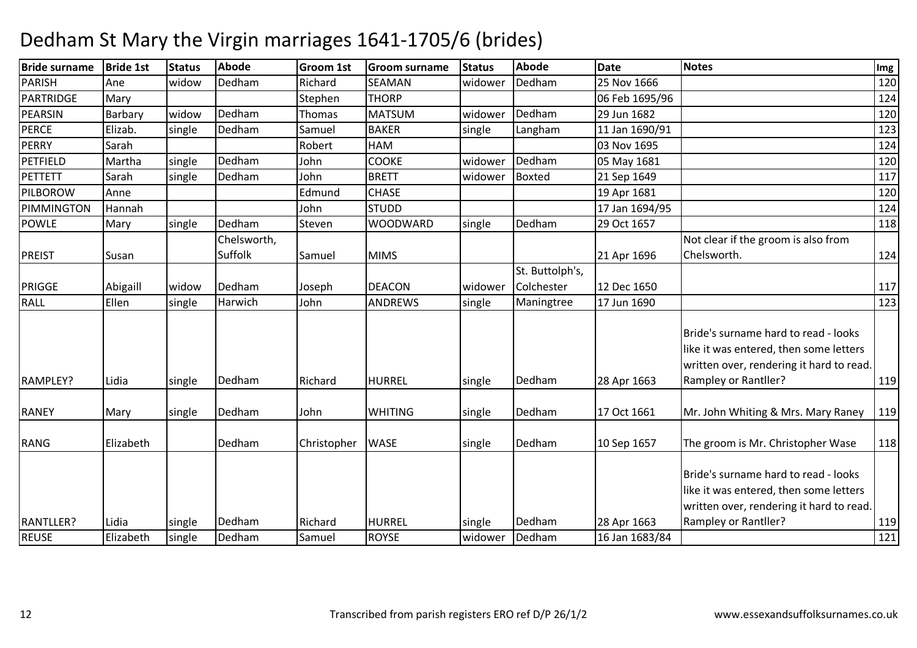| Dedham<br>Dedham<br>SEAMAN<br>25 Nov 1666<br>Ane<br>widow<br>Richard<br>widower<br><b>THORP</b><br>06 Feb 1695/96<br>Mary<br>Stephen<br>Dedham<br>Dedham<br><b>MATSUM</b><br>Barbary<br>29 Jun 1682<br>widow<br>Thomas<br>widower<br>Elizab.<br>Dedham<br><b>BAKER</b><br>Langham<br>11 Jan 1690/91<br>single<br>Samuel<br>single<br>HAM<br>03 Nov 1695<br>124<br>Sarah<br>Robert<br>Dedham<br>Dedham<br>Martha<br><b>COOKE</b><br>single<br>John<br>widower<br>05 May 1681<br>Dedham<br>Boxted<br><b>BRETT</b><br>Sarah<br>single<br>John<br>widower<br>21 Sep 1649<br><b>CHASE</b><br>Anne<br>Edmund<br>19 Apr 1681<br><b>STUDD</b><br>17 Jan 1694/95<br>Hannah<br>John<br>Dedham<br>Dedham<br>WOODWARD<br>29 Oct 1657<br>Mary<br>single<br>single<br>Steven<br>Chelsworth,<br>Not clear if the groom is also from<br>Suffolk<br>Chelsworth.<br>Samuel<br><b>MIMS</b><br>21 Apr 1696<br>Susan<br>St. Buttolph's,<br>Dedham<br>Colchester<br>Abigaill<br><b>DEACON</b><br>12 Dec 1650<br>widow<br>widower<br>Joseph<br>Ellen<br>Harwich<br>John<br><b>ANDREWS</b><br>17 Jun 1690<br>single<br>single<br>Maningtree<br>Bride's surname hard to read - looks<br>like it was entered, then some letters<br>written over, rendering it hard to read.<br><b>HURREL</b><br>Rampley or Rantller?<br>RAMPLEY?<br>Lidia<br>Dedham<br>Richard<br>Dedham<br>28 Apr 1663<br>single<br>single<br>Dedham<br>Dedham<br>Mr. John Whiting & Mrs. Mary Raney<br><b>WHITING</b><br>17 Oct 1661<br>Mary<br>single<br>John<br>single<br>Dedham<br>Dedham<br>The groom is Mr. Christopher Wase<br>Elizabeth<br><b>WASE</b><br>10 Sep 1657<br>Christopher<br>single<br>Bride's surname hard to read - looks<br>like it was entered, then some letters<br>written over, rendering it hard to read.<br>Dedham<br>Dedham<br>Rampley or Rantller?<br><b>HURREL</b><br>Lidia<br>Richard<br>28 Apr 1663<br>single<br>single<br>Elizabeth<br>Dedham<br><b>ROYSE</b><br>Dedham<br>16 Jan 1683/84<br>Samuel<br>widower | <b>Bride surname</b> | <b>Bride 1st</b> | <b>Status</b> | <b>Abode</b> | Groom 1st | <b>Groom surname</b> | <b>Status</b> | <b>Abode</b> | <b>Date</b> | <b>Notes</b> | Img |
|-----------------------------------------------------------------------------------------------------------------------------------------------------------------------------------------------------------------------------------------------------------------------------------------------------------------------------------------------------------------------------------------------------------------------------------------------------------------------------------------------------------------------------------------------------------------------------------------------------------------------------------------------------------------------------------------------------------------------------------------------------------------------------------------------------------------------------------------------------------------------------------------------------------------------------------------------------------------------------------------------------------------------------------------------------------------------------------------------------------------------------------------------------------------------------------------------------------------------------------------------------------------------------------------------------------------------------------------------------------------------------------------------------------------------------------------------------------------------------------------------------------------------------------------------------------------------------------------------------------------------------------------------------------------------------------------------------------------------------------------------------------------------------------------------------------------------------------------------------------------------------------------------------------------------------------------------------------------------------------------|----------------------|------------------|---------------|--------------|-----------|----------------------|---------------|--------------|-------------|--------------|-----|
| 124<br>120<br>123<br>120<br>117<br>120<br>124<br>118<br>124<br>117<br>123<br>119<br>119<br>118<br>119                                                                                                                                                                                                                                                                                                                                                                                                                                                                                                                                                                                                                                                                                                                                                                                                                                                                                                                                                                                                                                                                                                                                                                                                                                                                                                                                                                                                                                                                                                                                                                                                                                                                                                                                                                                                                                                                                   | <b>PARISH</b>        |                  |               |              |           |                      |               |              |             |              | 120 |
|                                                                                                                                                                                                                                                                                                                                                                                                                                                                                                                                                                                                                                                                                                                                                                                                                                                                                                                                                                                                                                                                                                                                                                                                                                                                                                                                                                                                                                                                                                                                                                                                                                                                                                                                                                                                                                                                                                                                                                                         | PARTRIDGE            |                  |               |              |           |                      |               |              |             |              |     |
|                                                                                                                                                                                                                                                                                                                                                                                                                                                                                                                                                                                                                                                                                                                                                                                                                                                                                                                                                                                                                                                                                                                                                                                                                                                                                                                                                                                                                                                                                                                                                                                                                                                                                                                                                                                                                                                                                                                                                                                         | PEARSIN              |                  |               |              |           |                      |               |              |             |              |     |
|                                                                                                                                                                                                                                                                                                                                                                                                                                                                                                                                                                                                                                                                                                                                                                                                                                                                                                                                                                                                                                                                                                                                                                                                                                                                                                                                                                                                                                                                                                                                                                                                                                                                                                                                                                                                                                                                                                                                                                                         | <b>PERCE</b>         |                  |               |              |           |                      |               |              |             |              |     |
|                                                                                                                                                                                                                                                                                                                                                                                                                                                                                                                                                                                                                                                                                                                                                                                                                                                                                                                                                                                                                                                                                                                                                                                                                                                                                                                                                                                                                                                                                                                                                                                                                                                                                                                                                                                                                                                                                                                                                                                         | <b>PERRY</b>         |                  |               |              |           |                      |               |              |             |              |     |
|                                                                                                                                                                                                                                                                                                                                                                                                                                                                                                                                                                                                                                                                                                                                                                                                                                                                                                                                                                                                                                                                                                                                                                                                                                                                                                                                                                                                                                                                                                                                                                                                                                                                                                                                                                                                                                                                                                                                                                                         | PETFIELD             |                  |               |              |           |                      |               |              |             |              |     |
|                                                                                                                                                                                                                                                                                                                                                                                                                                                                                                                                                                                                                                                                                                                                                                                                                                                                                                                                                                                                                                                                                                                                                                                                                                                                                                                                                                                                                                                                                                                                                                                                                                                                                                                                                                                                                                                                                                                                                                                         | <b>PETTETT</b>       |                  |               |              |           |                      |               |              |             |              |     |
|                                                                                                                                                                                                                                                                                                                                                                                                                                                                                                                                                                                                                                                                                                                                                                                                                                                                                                                                                                                                                                                                                                                                                                                                                                                                                                                                                                                                                                                                                                                                                                                                                                                                                                                                                                                                                                                                                                                                                                                         | <b>PILBOROW</b>      |                  |               |              |           |                      |               |              |             |              |     |
|                                                                                                                                                                                                                                                                                                                                                                                                                                                                                                                                                                                                                                                                                                                                                                                                                                                                                                                                                                                                                                                                                                                                                                                                                                                                                                                                                                                                                                                                                                                                                                                                                                                                                                                                                                                                                                                                                                                                                                                         | PIMMINGTON           |                  |               |              |           |                      |               |              |             |              |     |
|                                                                                                                                                                                                                                                                                                                                                                                                                                                                                                                                                                                                                                                                                                                                                                                                                                                                                                                                                                                                                                                                                                                                                                                                                                                                                                                                                                                                                                                                                                                                                                                                                                                                                                                                                                                                                                                                                                                                                                                         | POWLE                |                  |               |              |           |                      |               |              |             |              |     |
|                                                                                                                                                                                                                                                                                                                                                                                                                                                                                                                                                                                                                                                                                                                                                                                                                                                                                                                                                                                                                                                                                                                                                                                                                                                                                                                                                                                                                                                                                                                                                                                                                                                                                                                                                                                                                                                                                                                                                                                         |                      |                  |               |              |           |                      |               |              |             |              |     |
|                                                                                                                                                                                                                                                                                                                                                                                                                                                                                                                                                                                                                                                                                                                                                                                                                                                                                                                                                                                                                                                                                                                                                                                                                                                                                                                                                                                                                                                                                                                                                                                                                                                                                                                                                                                                                                                                                                                                                                                         | <b>PREIST</b>        |                  |               |              |           |                      |               |              |             |              |     |
|                                                                                                                                                                                                                                                                                                                                                                                                                                                                                                                                                                                                                                                                                                                                                                                                                                                                                                                                                                                                                                                                                                                                                                                                                                                                                                                                                                                                                                                                                                                                                                                                                                                                                                                                                                                                                                                                                                                                                                                         |                      |                  |               |              |           |                      |               |              |             |              |     |
|                                                                                                                                                                                                                                                                                                                                                                                                                                                                                                                                                                                                                                                                                                                                                                                                                                                                                                                                                                                                                                                                                                                                                                                                                                                                                                                                                                                                                                                                                                                                                                                                                                                                                                                                                                                                                                                                                                                                                                                         | <b>PRIGGE</b>        |                  |               |              |           |                      |               |              |             |              |     |
|                                                                                                                                                                                                                                                                                                                                                                                                                                                                                                                                                                                                                                                                                                                                                                                                                                                                                                                                                                                                                                                                                                                                                                                                                                                                                                                                                                                                                                                                                                                                                                                                                                                                                                                                                                                                                                                                                                                                                                                         | <b>RALL</b>          |                  |               |              |           |                      |               |              |             |              |     |
|                                                                                                                                                                                                                                                                                                                                                                                                                                                                                                                                                                                                                                                                                                                                                                                                                                                                                                                                                                                                                                                                                                                                                                                                                                                                                                                                                                                                                                                                                                                                                                                                                                                                                                                                                                                                                                                                                                                                                                                         |                      |                  |               |              |           |                      |               |              |             |              |     |
|                                                                                                                                                                                                                                                                                                                                                                                                                                                                                                                                                                                                                                                                                                                                                                                                                                                                                                                                                                                                                                                                                                                                                                                                                                                                                                                                                                                                                                                                                                                                                                                                                                                                                                                                                                                                                                                                                                                                                                                         |                      |                  |               |              |           |                      |               |              |             |              |     |
|                                                                                                                                                                                                                                                                                                                                                                                                                                                                                                                                                                                                                                                                                                                                                                                                                                                                                                                                                                                                                                                                                                                                                                                                                                                                                                                                                                                                                                                                                                                                                                                                                                                                                                                                                                                                                                                                                                                                                                                         | <b>RANEY</b>         |                  |               |              |           |                      |               |              |             |              |     |
|                                                                                                                                                                                                                                                                                                                                                                                                                                                                                                                                                                                                                                                                                                                                                                                                                                                                                                                                                                                                                                                                                                                                                                                                                                                                                                                                                                                                                                                                                                                                                                                                                                                                                                                                                                                                                                                                                                                                                                                         | RANG                 |                  |               |              |           |                      |               |              |             |              |     |
|                                                                                                                                                                                                                                                                                                                                                                                                                                                                                                                                                                                                                                                                                                                                                                                                                                                                                                                                                                                                                                                                                                                                                                                                                                                                                                                                                                                                                                                                                                                                                                                                                                                                                                                                                                                                                                                                                                                                                                                         | <b>RANTLLER?</b>     |                  |               |              |           |                      |               |              |             |              |     |
|                                                                                                                                                                                                                                                                                                                                                                                                                                                                                                                                                                                                                                                                                                                                                                                                                                                                                                                                                                                                                                                                                                                                                                                                                                                                                                                                                                                                                                                                                                                                                                                                                                                                                                                                                                                                                                                                                                                                                                                         | <b>REUSE</b>         |                  | single        |              |           |                      |               |              |             |              | 121 |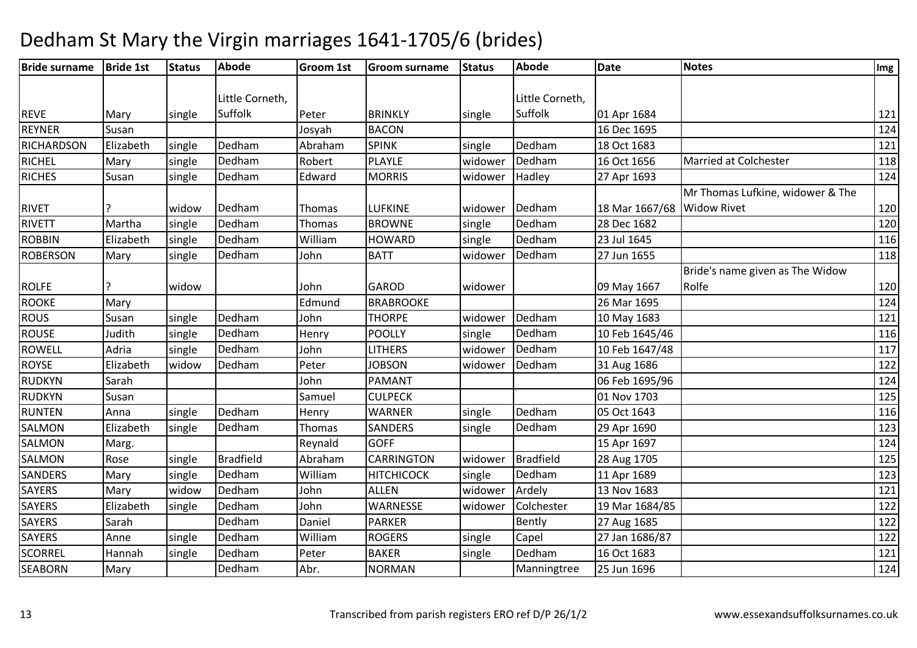| <b>Bride surname</b> | <b>Bride 1st</b> | <b>Status</b> | Abode            | Groom 1st     | <b>Groom surname</b> | <b>Status</b> | <b>Abode</b>     | <b>Date</b>                | <b>Notes</b>                     | Img |
|----------------------|------------------|---------------|------------------|---------------|----------------------|---------------|------------------|----------------------------|----------------------------------|-----|
|                      |                  |               |                  |               |                      |               |                  |                            |                                  |     |
|                      |                  |               | Little Corneth,  |               |                      |               | Little Corneth,  |                            |                                  |     |
| <b>REVE</b>          | Mary             | single        | Suffolk          | Peter         | <b>BRINKLY</b>       | single        | Suffolk          | 01 Apr 1684                |                                  | 121 |
| <b>REYNER</b>        | Susan            |               |                  | Josyah        | <b>BACON</b>         |               |                  | 16 Dec 1695                |                                  | 124 |
| <b>RICHARDSON</b>    | Elizabeth        | single        | Dedham           | Abraham       | <b>SPINK</b>         | single        | Dedham           | 18 Oct 1683                |                                  | 121 |
| RICHEL               | Mary             | single        | Dedham           | Robert        | <b>PLAYLE</b>        | widower       | Dedham           | 16 Oct 1656                | <b>Married at Colchester</b>     | 118 |
| <b>RICHES</b>        | Susan            | single        | Dedham           | Edward        | <b>MORRIS</b>        | widower       | Hadley           | 27 Apr 1693                |                                  | 124 |
|                      |                  |               |                  |               |                      |               |                  |                            | Mr Thomas Lufkine, widower & The |     |
| <b>RIVET</b>         |                  | widow         | Dedham           | Thomas        | <b>LUFKINE</b>       | widower       | Dedham           | 18 Mar 1667/68 Widow Rivet |                                  | 120 |
| RIVETT               | Martha           | single        | Dedham           | Thomas        | <b>BROWNE</b>        | single        | Dedham           | 28 Dec 1682                |                                  | 120 |
| <b>ROBBIN</b>        | Elizabeth        | single        | Dedham           | William       | <b>HOWARD</b>        | single        | Dedham           | 23 Jul 1645                |                                  | 116 |
| <b>ROBERSON</b>      | Mary             | single        | Dedham           | John          | <b>BATT</b>          | widower       | Dedham           | 27 Jun 1655                |                                  | 118 |
|                      |                  |               |                  |               |                      |               |                  |                            | Bride's name given as The Widow  |     |
| <b>ROLFE</b>         |                  | widow         |                  | John          | <b>GAROD</b>         | widower       |                  | 09 May 1667                | Rolfe                            | 120 |
| <b>ROOKE</b>         | Mary             |               |                  | Edmund        | <b>BRABROOKE</b>     |               |                  | 26 Mar 1695                |                                  | 124 |
| <b>ROUS</b>          | Susan            | single        | Dedham           | John          | <b>THORPE</b>        | widower       | Dedham           | 10 May 1683                |                                  | 121 |
| <b>ROUSE</b>         | Judith           | single        | Dedham           | Henry         | <b>POOLLY</b>        | single        | Dedham           | 10 Feb 1645/46             |                                  | 116 |
| <b>ROWELL</b>        | Adria            | single        | Dedham           | John          | <b>LITHERS</b>       | widower       | Dedham           | 10 Feb 1647/48             |                                  | 117 |
| <b>ROYSE</b>         | Elizabeth        | widow         | Dedham           | Peter         | <b>JOBSON</b>        | widower       | Dedham           | 31 Aug 1686                |                                  | 122 |
| <b>RUDKYN</b>        | Sarah            |               |                  | John          | <b>PAMANT</b>        |               |                  | 06 Feb 1695/96             |                                  | 124 |
| <b>RUDKYN</b>        | Susan            |               |                  | Samuel        | <b>CULPECK</b>       |               |                  | 01 Nov 1703                |                                  | 125 |
| <b>RUNTEN</b>        | Anna             | single        | Dedham           | Henry         | <b>WARNER</b>        | single        | Dedham           | 05 Oct 1643                |                                  | 116 |
| SALMON               | Elizabeth        | single        | Dedham           | <b>Thomas</b> | <b>SANDERS</b>       | single        | Dedham           | 29 Apr 1690                |                                  | 123 |
| <b>SALMON</b>        | Marg.            |               |                  | Reynald       | <b>GOFF</b>          |               |                  | 15 Apr 1697                |                                  | 124 |
| <b>SALMON</b>        | Rose             | single        | <b>Bradfield</b> | Abraham       | <b>CARRINGTON</b>    | widower       | <b>Bradfield</b> | 28 Aug 1705                |                                  | 125 |
| <b>SANDERS</b>       | Mary             | single        | Dedham           | William       | <b>HITCHICOCK</b>    | single        | Dedham           | 11 Apr 1689                |                                  | 123 |
| <b>SAYERS</b>        | Mary             | widow         | Dedham           | John          | <b>ALLEN</b>         | widower       | Ardely           | 13 Nov 1683                |                                  | 121 |
| <b>SAYERS</b>        | Elizabeth        | single        | Dedham           | John          | WARNESSE             | widower       | Colchester       | 19 Mar 1684/85             |                                  | 122 |
| <b>SAYERS</b>        | Sarah            |               | Dedham           | Daniel        | <b>PARKER</b>        |               | Bently           | 27 Aug 1685                |                                  | 122 |
| <b>SAYERS</b>        | Anne             | single        | Dedham           | William       | <b>ROGERS</b>        | single        | Capel            | 27 Jan 1686/87             |                                  | 122 |
| <b>SCORREL</b>       | Hannah           | single        | Dedham           | Peter         | <b>BAKER</b>         | single        | Dedham           | 16 Oct 1683                |                                  | 121 |
| <b>SEABORN</b>       | Mary             |               | Dedham           | Abr.          | <b>NORMAN</b>        |               | Manningtree      | 25 Jun 1696                |                                  | 124 |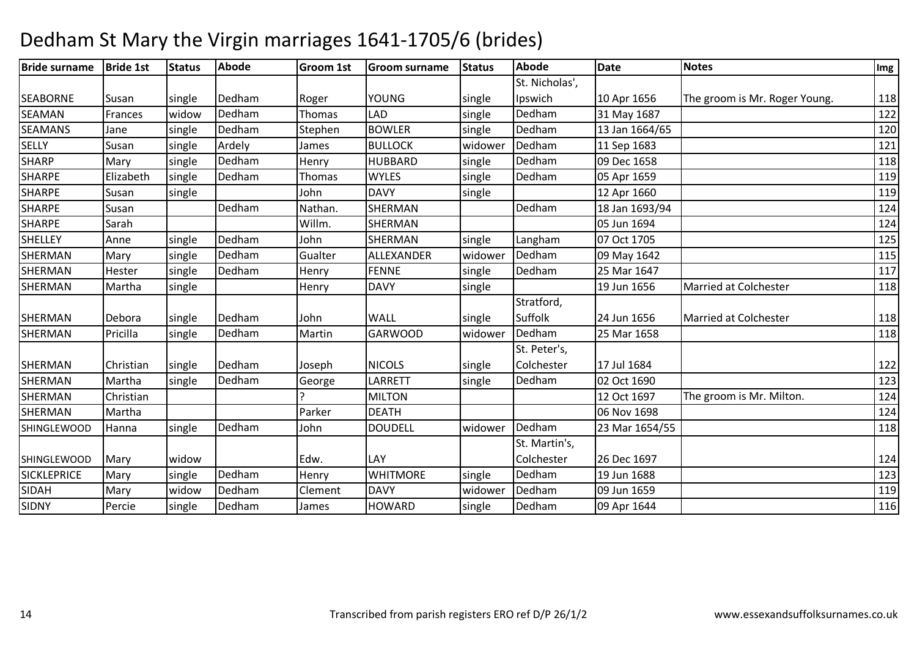#### **Bride surname Bride 1st Status Abode Groom 1st Groom surname Status Abode Date Notes Img** SEABORNE Susan Single Dedham m Roger YOUNG single St. Nicholas', Ipswich**Ipswich 10 Apr 1656**<br>Dedham 31 May 1687 The groom is Mr. Roger Young. 118 SEAMAN**Frances** widow<br>Jane single Dedhamm Thomas LAD single Dedham 31 May 1687 122<br>122 SEAMANS JaneDedham m Stephen BOWLER single Dedham 13 Jan 1664/65 120<br>13 Jan 1664/65 120 SELLYSusan<br>Mary n single Ardely James BULLOCK widower Dedham m 11 Sep 1683 121<br>121 **SHARP** single Dedham Henry HUBBARD single Dedham 09 Dec 1658 <sup>118</sup> SHARPE Elizabeth single Dedhamm Thomas WYLES single Dedham 05 Apr 1659 119 119 SHARPE Susann single John DAVY single 12 Apr 1660 1119 SHARPE Susan Dedham Nathan. SHERMAN Dedham 18 Jan 1693/94 <sup>124</sup> SHARPE Sarah Willm. SHERMANN 124 SHELLEY Anne single Dedhamm John SHERMAN single Langham 07 Oct 1705 125 SHERMANMary single Dedham<br>Hester single Dedham m Gualter ALLEXANDER widower-Dedham 09 May 1642<br>115 - Gualter Land, Carl and Carl and Carl and Carl and Carl and Carl and Carl and Carl and Carl and Carl and<br>116 - Carl and Carl and Carl and Carl and Carl and Carl and Carl SHERMANHester single Dedham<br>Martha single Henry FENNE single Dedham 25 Mar 1647 <sup>117</sup> SHERMANN Martha single Henry DAVY single 19 Jun 1656 Married at Colchester 118 SHERMAN Debora single Dedham<br>SHERMAN Pricilla single Dedham m John WALL single Stratford. Suffolk 24 Jun 165624 Jun 1656 Married at Colchester 118<br>25 Mar 1658 118 SHERMANsingle Dedham m Martin GARWOOD widower Dedham 25 Mar 1658 118 SHERMAN Christian single Dedham m Joseph NICOLS single St. Peter's, Colchester 17 Jul 16844 122 SHERMANMartha single Dedham<br>Christian m George LARRETT single Dedham 02 Oct 1690 123<br>1936 - San Laurent Land, and the San Line of the San Line of the San Line of the San Line of the San Line of t SHERMANN Christian 2010 124 SHERMANN Martha Parker DEATH 06 Nov 1698 124 **SHINGLEWOOD** Hanna *single* Dedham m John DOUDELL widower Dedham 23 Mar 1654/55 118 118 118 SHINGLEWOODD Mary Widow **Edw. LAY** St. Martin's, Colchester 26 Dec 1697124 and 224 **SICKLEPRICE** Mary single Dedham Henry WHITMORE single Dedham 19 Jun 1688 <sup>123</sup> SIDAHMary | widow<br>| Percie | single Dedhamm Clement DAVY widower Dedham 09 Jun 1659 119<br>119 March 19 Jun 1659 119 March 160 110 110 110 March 160 110 110 110 March 160 110 110 110 March 160 110 110 SIDNY PercieDedham m James |HOWARD |single |Dedham |09 Apr 1644 | |116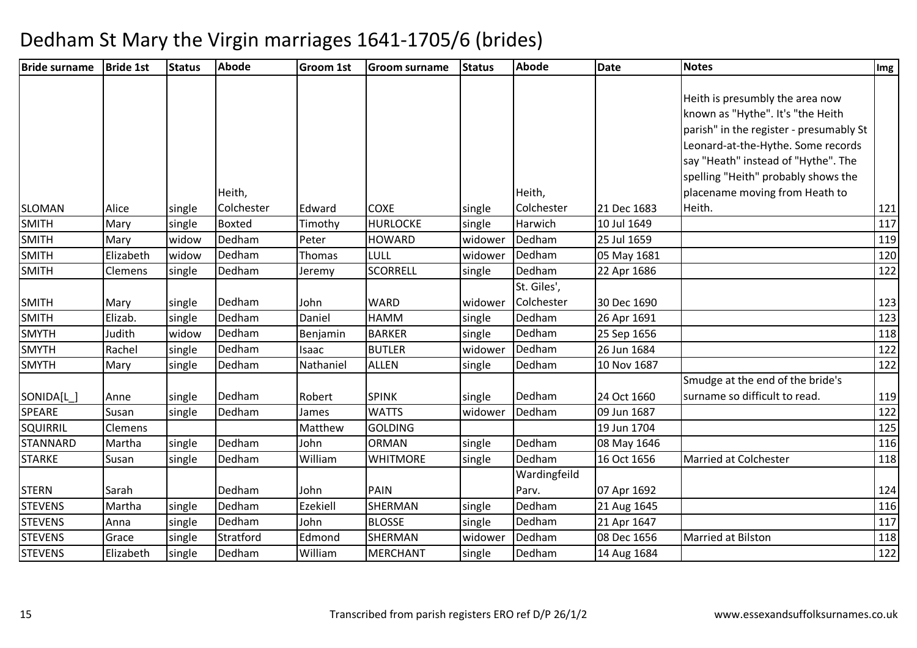| <b>Bride surname</b> | <b>Bride 1st</b> | <b>Status</b> | <b>Abode</b>  | Groom 1st | <b>Groom surname</b> | Status  | <b>Abode</b> | <b>Date</b> | <b>Notes</b>                            | $\sqrt{\frac{mg}{m}}$ |
|----------------------|------------------|---------------|---------------|-----------|----------------------|---------|--------------|-------------|-----------------------------------------|-----------------------|
|                      |                  |               |               |           |                      |         |              |             |                                         |                       |
|                      |                  |               |               |           |                      |         |              |             | Heith is presumbly the area now         |                       |
|                      |                  |               |               |           |                      |         |              |             | known as "Hythe". It's "the Heith       |                       |
|                      |                  |               |               |           |                      |         |              |             | parish" in the register - presumably St |                       |
|                      |                  |               |               |           |                      |         |              |             | Leonard-at-the-Hythe. Some records      |                       |
|                      |                  |               |               |           |                      |         |              |             | say "Heath" instead of "Hythe". The     |                       |
|                      |                  |               |               |           |                      |         |              |             | spelling "Heith" probably shows the     |                       |
|                      |                  |               | Heith,        |           |                      |         | Heith,       |             | placename moving from Heath to          |                       |
| <b>SLOMAN</b>        | Alice            | single        | Colchester    | Edward    | <b>COXE</b>          | single  | Colchester   | 21 Dec 1683 | Heith.                                  | 121                   |
| <b>SMITH</b>         | Mary             | single        | <b>Boxted</b> | Timothy   | <b>HURLOCKE</b>      | single  | Harwich      | 10 Jul 1649 |                                         | 117                   |
| <b>SMITH</b>         | Mary             | widow         | Dedham        | Peter     | <b>HOWARD</b>        | widower | Dedham       | 25 Jul 1659 |                                         | 119                   |
| <b>SMITH</b>         | Elizabeth        | widow         | Dedham        | Thomas    | LULL                 | widower | Dedham       | 05 May 1681 |                                         | 120                   |
| <b>SMITH</b>         | Clemens          | single        | Dedham        | Jeremy    | <b>SCORRELL</b>      | single  | Dedham       | 22 Apr 1686 |                                         | 122                   |
|                      |                  |               |               |           |                      |         | St. Giles',  |             |                                         |                       |
| <b>SMITH</b>         | Mary             | single        | Dedham        | John      | <b>WARD</b>          | widower | Colchester   | 30 Dec 1690 |                                         | 123                   |
| <b>SMITH</b>         | Elizab.          | single        | Dedham        | Daniel    | <b>HAMM</b>          | single  | Dedham       | 26 Apr 1691 |                                         | 123                   |
| <b>SMYTH</b>         | Judith           | widow         | Dedham        | Benjamin  | <b>BARKER</b>        | single  | Dedham       | 25 Sep 1656 |                                         | 118                   |
| <b>SMYTH</b>         | Rachel           | single        | Dedham        | Isaac     | <b>BUTLER</b>        | widower | Dedham       | 26 Jun 1684 |                                         | 122                   |
| <b>SMYTH</b>         | Mary             | single        | Dedham        | Nathaniel | <b>ALLEN</b>         | single  | Dedham       | 10 Nov 1687 |                                         | 122                   |
|                      |                  |               |               |           |                      |         |              |             | Smudge at the end of the bride's        |                       |
| SONIDA[L_]           | Anne             | single        | Dedham        | Robert    | <b>SPINK</b>         | single  | Dedham       | 24 Oct 1660 | surname so difficult to read.           | 119                   |
| <b>SPEARE</b>        | Susan            | single        | Dedham        | James     | <b>WATTS</b>         | widower | Dedham       | 09 Jun 1687 |                                         | 122                   |
| <b>SQUIRRIL</b>      | Clemens          |               |               | Matthew   | <b>GOLDING</b>       |         |              | 19 Jun 1704 |                                         | 125                   |
| <b>STANNARD</b>      | Martha           | single        | Dedham        | John      | <b>ORMAN</b>         | single  | Dedham       | 08 May 1646 |                                         | 116                   |
| <b>STARKE</b>        | Susan            | single        | Dedham        | William   | <b>WHITMORE</b>      | single  | Dedham       | 16 Oct 1656 | <b>Married at Colchester</b>            | 118                   |
|                      |                  |               |               |           |                      |         | Wardingfeild |             |                                         |                       |
| <b>STERN</b>         | Sarah            |               | Dedham        | John      | PAIN                 |         | Parv.        | 07 Apr 1692 |                                         | 124                   |
| <b>STEVENS</b>       | Martha           | single        | Dedham        | Ezekiell  | SHERMAN              | single  | Dedham       | 21 Aug 1645 |                                         | 116                   |
| <b>STEVENS</b>       | Anna             | single        | Dedham        | John      | <b>BLOSSE</b>        | single  | Dedham       | 21 Apr 1647 |                                         | 117                   |
| <b>STEVENS</b>       | Grace            | single        | Stratford     | Edmond    | SHERMAN              | widower | Dedham       | 08 Dec 1656 | Married at Bilston                      | 118                   |
| <b>STEVENS</b>       | Elizabeth        | single        | Dedham        | William   | <b>MERCHANT</b>      | single  | Dedham       | 14 Aug 1684 |                                         | 122                   |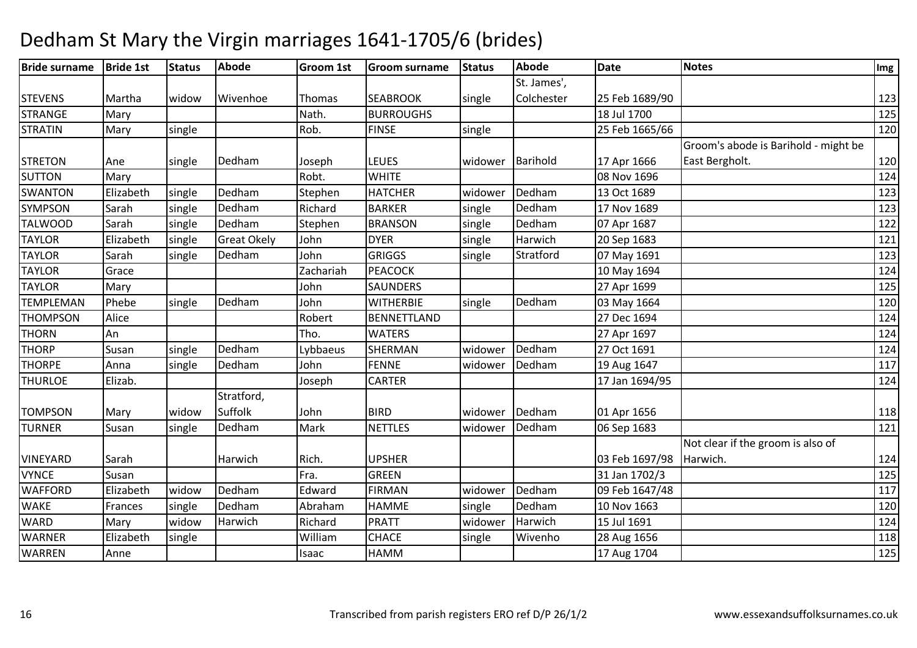| <b>Bride surname</b> | <b>Bride 1st</b> | <b>Status</b> | Abode              | <b>Groom 1st</b> | <b>Groom surname</b> | <b>Status</b>    | Abode       | <b>Date</b>    | <b>Notes</b>                         | Img |
|----------------------|------------------|---------------|--------------------|------------------|----------------------|------------------|-------------|----------------|--------------------------------------|-----|
|                      |                  |               |                    |                  |                      |                  | St. James', |                |                                      |     |
| <b>STEVENS</b>       | Martha           | widow         | Wivenhoe           | Thomas           | <b>SEABROOK</b>      | single           | Colchester  | 25 Feb 1689/90 |                                      | 123 |
| <b>STRANGE</b>       | Mary             |               |                    | Nath.            | <b>BURROUGHS</b>     |                  |             | 18 Jul 1700    |                                      | 125 |
| <b>STRATIN</b>       | Mary             | single        |                    | Rob.             | <b>FINSE</b>         | single           |             | 25 Feb 1665/66 |                                      | 120 |
|                      |                  |               |                    |                  |                      |                  |             |                | Groom's abode is Barihold - might be |     |
| <b>STRETON</b>       | Ane              | single        | Dedham             | Joseph           | <b>LEUES</b>         | widower Barihold |             | 17 Apr 1666    | East Bergholt.                       | 120 |
| <b>SUTTON</b>        | Mary             |               |                    | Robt.            | <b>WHITE</b>         |                  |             | 08 Nov 1696    |                                      | 124 |
| <b>SWANTON</b>       | Elizabeth        | single        | Dedham             | Stephen          | <b>HATCHER</b>       | widower          | Dedham      | 13 Oct 1689    |                                      | 123 |
| <b>SYMPSON</b>       | Sarah            | single        | Dedham             | Richard          | <b>BARKER</b>        | single           | Dedham      | 17 Nov 1689    |                                      | 123 |
| <b>TALWOOD</b>       | Sarah            | single        | Dedham             | Stephen          | <b>BRANSON</b>       | single           | Dedham      | 07 Apr 1687    |                                      | 122 |
| <b>TAYLOR</b>        | Elizabeth        | single        | <b>Great Okely</b> | John             | <b>DYER</b>          | single           | Harwich     | 20 Sep 1683    |                                      | 121 |
| <b>TAYLOR</b>        | Sarah            | single        | Dedham             | John             | <b>GRIGGS</b>        | single           | Stratford   | 07 May 1691    |                                      | 123 |
| <b>TAYLOR</b>        | Grace            |               |                    | Zachariah        | <b>PEACOCK</b>       |                  |             | 10 May 1694    |                                      | 124 |
| <b>TAYLOR</b>        | Mary             |               |                    | John             | <b>SAUNDERS</b>      |                  |             | 27 Apr 1699    |                                      | 125 |
| <b>TEMPLEMAN</b>     | Phebe            | single        | Dedham             | John             | <b>WITHERBIE</b>     | single           | Dedham      | 03 May 1664    |                                      | 120 |
| <b>THOMPSON</b>      | Alice            |               |                    | Robert           | <b>BENNETTLAND</b>   |                  |             | 27 Dec 1694    |                                      | 124 |
| <b>THORN</b>         | An               |               |                    | Tho.             | <b>WATERS</b>        |                  |             | 27 Apr 1697    |                                      | 124 |
| <b>THORP</b>         | Susan            | single        | Dedham             | Lybbaeus         | SHERMAN              | widower          | Dedham      | 27 Oct 1691    |                                      | 124 |
| <b>THORPE</b>        | Anna             | single        | Dedham             | John             | <b>FENNE</b>         | widower          | Dedham      | 19 Aug 1647    |                                      | 117 |
| <b>THURLOE</b>       | Elizab.          |               |                    | Joseph           | CARTER               |                  |             | 17 Jan 1694/95 |                                      | 124 |
|                      |                  |               | Stratford,         |                  |                      |                  |             |                |                                      |     |
| <b>TOMPSON</b>       | Mary             | widow         | Suffolk            | John             | <b>BIRD</b>          | widower          | Dedham      | 01 Apr 1656    |                                      | 118 |
| <b>TURNER</b>        | Susan            | single        | Dedham             | Mark             | <b>NETTLES</b>       | widower          | Dedham      | 06 Sep 1683    |                                      | 121 |
|                      |                  |               |                    |                  |                      |                  |             |                | Not clear if the groom is also of    |     |
| <b>VINEYARD</b>      | Sarah            |               | Harwich            | Rich.            | <b>UPSHER</b>        |                  |             | 03 Feb 1697/98 | Harwich.                             | 124 |
| <b>VYNCE</b>         | Susan            |               |                    | Fra.             | <b>GREEN</b>         |                  |             | 31 Jan 1702/3  |                                      | 125 |
| <b>WAFFORD</b>       | Elizabeth        | widow         | Dedham             | Edward           | <b>FIRMAN</b>        | widower          | Dedham      | 09 Feb 1647/48 |                                      | 117 |
| <b>WAKE</b>          | Frances          | single        | Dedham             | Abraham          | <b>HAMME</b>         | single           | Dedham      | 10 Nov 1663    |                                      | 120 |
| <b>WARD</b>          | Mary             | widow         | Harwich            | Richard          | <b>PRATT</b>         | widower          | Harwich     | 15 Jul 1691    |                                      | 124 |
| <b>WARNER</b>        | Elizabeth        | single        |                    | William          | <b>CHACE</b>         | single           | Wivenho     | 28 Aug 1656    |                                      | 118 |
| <b>WARREN</b>        | Anne             |               |                    | Isaac            | <b>HAMM</b>          |                  |             | 17 Aug 1704    |                                      | 125 |